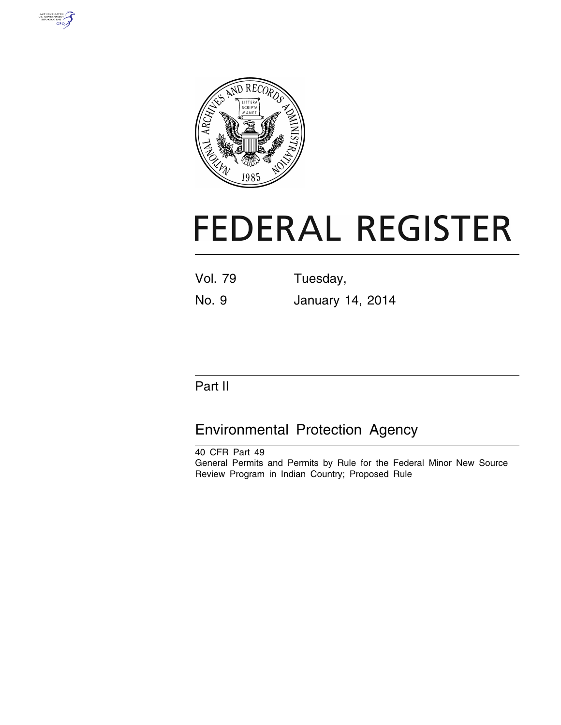



# **FEDERAL REGISTER**

Vol. 79 Tuesday,

No. 9 January 14, 2014

# Part II

# Environmental Protection Agency

40 CFR Part 49 General Permits and Permits by Rule for the Federal Minor New Source Review Program in Indian Country; Proposed Rule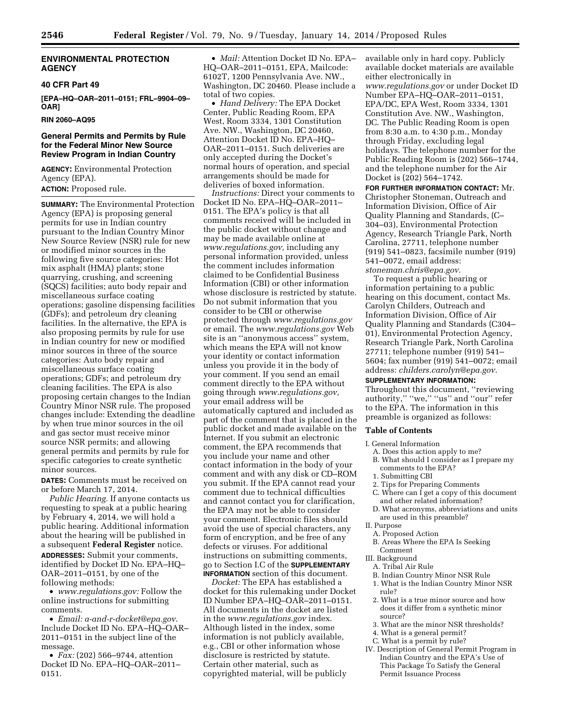# **ENVIRONMENTAL PROTECTION AGENCY**

#### **40 CFR Part 49**

**[EPA–HQ–OAR–2011–0151; FRL–9904–09– OAR]** 

**RIN 2060–AQ95** 

# **General Permits and Permits by Rule for the Federal Minor New Source Review Program in Indian Country**

**AGENCY:** Environmental Protection Agency (EPA). **ACTION:** Proposed rule.

**SUMMARY:** The Environmental Protection Agency (EPA) is proposing general permits for use in Indian country pursuant to the Indian Country Minor New Source Review (NSR) rule for new or modified minor sources in the following five source categories: Hot mix asphalt (HMA) plants; stone quarrying, crushing, and screening (SQCS) facilities; auto body repair and miscellaneous surface coating operations; gasoline dispensing facilities (GDFs); and petroleum dry cleaning facilities. In the alternative, the EPA is also proposing permits by rule for use in Indian country for new or modified minor sources in three of the source categories: Auto body repair and miscellaneous surface coating operations; GDFs; and petroleum dry cleaning facilities. The EPA is also proposing certain changes to the Indian Country Minor NSR rule. The proposed changes include: Extending the deadline by when true minor sources in the oil and gas sector must receive minor source NSR permits; and allowing general permits and permits by rule for specific categories to create synthetic minor sources.

**DATES:** Comments must be received on or before March 17, 2014.

*Public Hearing.* If anyone contacts us requesting to speak at a public hearing by February 4, 2014, we will hold a public hearing. Additional information about the hearing will be published in a subsequent **Federal Register** notice. **ADDRESSES:** Submit your comments, identified by Docket ID No. EPA–HQ– OAR–2011–0151, by one of the following methods:

• *[www.regulations.gov:](http://www.regulations.gov)* Follow the online instructions for submitting comments.

• *Email: [a-and-r-docket@epa.gov](mailto:a-and-r-docket@epa.gov)*. Include Docket ID No. EPA–HQ–OAR– 2011–0151 in the subject line of the message.

• *Fax:* (202) 566–9744, attention Docket ID No. EPA–HQ–OAR–2011– 0151.

• *Mail:* Attention Docket ID No. EPA– HQ–OAR–2011–0151, EPA, Mailcode: 6102T, 1200 Pennsylvania Ave. NW., Washington, DC 20460. Please include a total of two copies.

• *Hand Delivery:* The EPA Docket Center, Public Reading Room, EPA West, Room 3334, 1301 Constitution Ave. NW., Washington, DC 20460, Attention Docket ID No. EPA–HQ– OAR–2011–0151. Such deliveries are only accepted during the Docket's normal hours of operation, and special arrangements should be made for deliveries of boxed information.

*Instructions:* Direct your comments to Docket ID No. EPA–HQ–OAR–2011– 0151. The EPA's policy is that all comments received will be included in the public docket without change and may be made available online at *[www.regulations.gov,](http://www.regulations.gov)* including any personal information provided, unless the comment includes information claimed to be Confidential Business Information (CBI) or other information whose disclosure is restricted by statute. Do not submit information that you consider to be CBI or otherwise protected through *[www.regulations.gov](http://www.regulations.gov)*  or email. The *[www.regulations.gov](http://www.regulations.gov)* Web site is an ''anonymous access'' system, which means the EPA will not know your identity or contact information unless you provide it in the body of your comment. If you send an email comment directly to the EPA without going through *[www.regulations.gov,](http://www.regulations.gov)*  your email address will be automatically captured and included as part of the comment that is placed in the public docket and made available on the Internet. If you submit an electronic comment, the EPA recommends that you include your name and other contact information in the body of your comment and with any disk or CD–ROM you submit. If the EPA cannot read your comment due to technical difficulties and cannot contact you for clarification, the EPA may not be able to consider your comment. Electronic files should avoid the use of special characters, any form of encryption, and be free of any defects or viruses. For additional instructions on submitting comments, go to Section I.C of the **SUPPLEMENTARY INFORMATION** section of this document.

*Docket:* The EPA has established a docket for this rulemaking under Docket ID Number EPA–HQ–OAR–2011–0151. All documents in the docket are listed in the *[www.regulations.gov](http://www.regulations.gov)* index. Although listed in the index, some information is not publicly available, e.g., CBI or other information whose disclosure is restricted by statute. Certain other material, such as copyrighted material, will be publicly

available only in hard copy. Publicly available docket materials are available either electronically in *[www.regulations.gov](http://www.regulations.gov)* or under Docket ID Number EPA–HQ–OAR–2011–0151, EPA/DC, EPA West, Room 3334, 1301 Constitution Ave. NW., Washington, DC. The Public Reading Room is open from 8:30 a.m. to 4:30 p.m., Monday through Friday, excluding legal holidays. The telephone number for the Public Reading Room is (202) 566–1744, and the telephone number for the Air Docket is (202) 564–1742.

**FOR FURTHER INFORMATION CONTACT:** Mr. Christopher Stoneman, Outreach and Information Division, Office of Air Quality Planning and Standards, (C– 304–03), Environmental Protection Agency, Research Triangle Park, North Carolina, 27711, telephone number (919) 541–0823, facsimile number (919) 541–0072, email address: *[stoneman.chris@epa.gov](mailto:stoneman.chris@epa.gov)*.

To request a public hearing or information pertaining to a public hearing on this document, contact Ms. Carolyn Childers, Outreach and Information Division, Office of Air Quality Planning and Standards (C304– 01), Environmental Protection Agency, Research Triangle Park, North Carolina 27711; telephone number (919) 541– 5604; fax number (919) 541–0072; email address: *[childers.carolyn@epa.gov](mailto:childers.carolyn@epa.gov)*.

# **SUPPLEMENTARY INFORMATION:**

Throughout this document, ''reviewing authority," "we," "us" and "our" refer to the EPA. The information in this preamble is organized as follows:

# **Table of Contents**

I. General Information

- A. Does this action apply to me?
- B. What should I consider as I prepare my comments to the EPA?
- 1. Submitting CBI
- 2. Tips for Preparing Comments
- C. Where can I get a copy of this document and other related information?
- D. What acronyms, abbreviations and units are used in this preamble?
- II. Purpose
- A. Proposed Action B. Areas Where the EPA Is Seeking Comment
- III. Background
- A. Tribal Air Rule
- B. Indian Country Minor NSR Rule
	- 1. What is the Indian Country Minor NSR rule?
	- 2. What is a true minor source and how does it differ from a synthetic minor source?
	- 3. What are the minor NSR thresholds?
	- 4. What is a general permit?
	- C. What is a permit by rule?
- IV. Description of General Permit Program in Indian Country and the EPA's Use of This Package To Satisfy the General Permit Issuance Process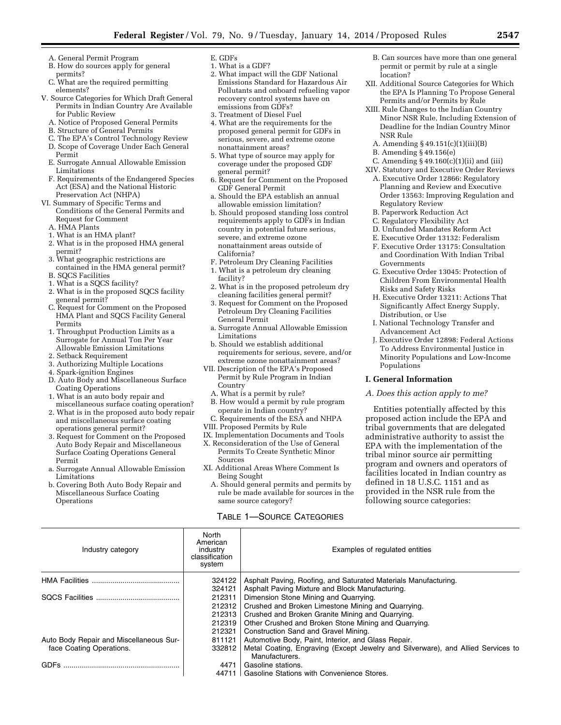- A. General Permit Program
- B. How do sources apply for general permits?
- C. What are the required permitting elements?
- V. Source Categories for Which Draft General Permits in Indian Country Are Available for Public Review
	- A. Notice of Proposed General Permits
	- B. Structure of General Permits
	- C. The EPA's Control Technology Review
	- D. Scope of Coverage Under Each General Permit
	- E. Surrogate Annual Allowable Emission Limitations
	- F. Requirements of the Endangered Species Act (ESA) and the National Historic Preservation Act (NHPA)
- VI. Summary of Specific Terms and Conditions of the General Permits and Request for Comment
	- A. HMA Plants
	- 1. What is an HMA plant?
	- 2. What is in the proposed HMA general permit?
	- 3. What geographic restrictions are contained in the HMA general permit?
	- B. SQCS Facilities
	- 1. What is a SQCS facility?
	- 2. What is in the proposed SQCS facility general permit?
	- C. Request for Comment on the Proposed HMA Plant and SQCS Facility General Permits
	- 1. Throughput Production Limits as a Surrogate for Annual Ton Per Year Allowable Emission Limitations
	- 2. Setback Requirement
	- 3. Authorizing Multiple Locations
	- 4. Spark-ignition Engines
	- D. Auto Body and Miscellaneous Surface Coating Operations
	- 1. What is an auto body repair and miscellaneous surface coating operation?
	- 2. What is in the proposed auto body repair and miscellaneous surface coating operations general permit?
	- 3. Request for Comment on the Proposed Auto Body Repair and Miscellaneous Surface Coating Operations General Permit
	- a. Surrogate Annual Allowable Emission Limitations
	- b. Covering Both Auto Body Repair and Miscellaneous Surface Coating **Operations**
- E. GDFs
- 1. What is a GDF?
- 2. What impact will the GDF National Emissions Standard for Hazardous Air Pollutants and onboard refueling vapor recovery control systems have on emissions from GDFs?
- 3. Treatment of Diesel Fuel
- 4. What are the requirements for the proposed general permit for GDFs in serious, severe, and extreme ozone nonattainment areas?
- 5. What type of source may apply for coverage under the proposed GDF general permit?
- 6. Request for Comment on the Proposed GDF General Permit
- a. Should the EPA establish an annual allowable emission limitation?
- b. Should proposed standing loss control requirements apply to GDFs in Indian country in potential future serious, severe, and extreme ozone nonattainment areas outside of California?
- F. Petroleum Dry Cleaning Facilities
- 1. What is a petroleum dry cleaning facility?
- 2. What is in the proposed petroleum dry cleaning facilities general permit?
- 3. Request for Comment on the Proposed Petroleum Dry Cleaning Facilities General Permit
- a. Surrogate Annual Allowable Emission Limitations
- b. Should we establish additional requirements for serious, severe, and/or extreme ozone nonattainment areas?
- VII. Description of the EPA's Proposed Permit by Rule Program in Indian Country
	- A. What is a permit by rule?
	- B. How would a permit by rule program operate in Indian country?
- C. Requirements of the ESA and NHPA
- VIII. Proposed Permits by Rule
- IX. Implementation Documents and Tools
- X. Reconsideration of the Use of General Permits To Create Synthetic Minor Sources
- XI. Additional Areas Where Comment Is Being Sought
	- A. Should general permits and permits by rule be made available for sources in the same source category?

# TABLE 1—SOURCE CATEGORIES

- B. Can sources have more than one general permit or permit by rule at a single location?
- XII. Additional Source Categories for Which the EPA Is Planning To Propose General Permits and/or Permits by Rule
- XIII. Rule Changes to the Indian Country Minor NSR Rule, Including Extension of Deadline for the Indian Country Minor NSR Rule
	- A. Amending § 49.151(c)(1)(iii)(B)
	- B. Amending § 49.156(e)
	- C. Amending  $\S 49.160(c)(1)(ii)$  and (iii)
- XIV. Statutory and Executive Order Reviews A. Executive Order 12866: Regulatory Planning and Review and Executive Order 13563: Improving Regulation and Regulatory Review
- B. Paperwork Reduction Act
- C. Regulatory Flexibility Act
- D. Unfunded Mandates Reform Act
- E. Executive Order 13132: Federalism
- F. Executive Order 13175: Consultation and Coordination With Indian Tribal Governments
- G. Executive Order 13045: Protection of Children From Environmental Health Risks and Safety Risks
- H. Executive Order 13211: Actions That Significantly Affect Energy Supply, Distribution, or Use
- I. National Technology Transfer and Advancement Act
- J. Executive Order 12898: Federal Actions To Address Environmental Justice in Minority Populations and Low-Income Populations

#### **I. General Information**

#### *A. Does this action apply to me?*

Entities potentially affected by this proposed action include the EPA and tribal governments that are delegated administrative authority to assist the EPA with the implementation of the tribal minor source air permitting program and owners and operators of facilities located in Indian country as defined in 18 U.S.C. 1151 and as provided in the NSR rule from the following source categories:

| Industry category                       | North<br>American<br>industry<br>classification<br>system | Examples of regulated entities                                                   |  |  |  |
|-----------------------------------------|-----------------------------------------------------------|----------------------------------------------------------------------------------|--|--|--|
| <b>HMA Facilities</b>                   | 324122                                                    | Asphalt Paving, Roofing, and Saturated Materials Manufacturing.                  |  |  |  |
|                                         | 324121                                                    | Asphalt Paving Mixture and Block Manufacturing.                                  |  |  |  |
|                                         | 212311                                                    | Dimension Stone Mining and Quarrying.                                            |  |  |  |
|                                         | 212312                                                    | Crushed and Broken Limestone Mining and Quarrying.                               |  |  |  |
|                                         | 212313                                                    | Crushed and Broken Granite Mining and Quarrying.                                 |  |  |  |
|                                         | 212319                                                    | Other Crushed and Broken Stone Mining and Quarrying.                             |  |  |  |
|                                         | 212321                                                    | Construction Sand and Gravel Mining.                                             |  |  |  |
| Auto Body Repair and Miscellaneous Sur- | 811121                                                    | Automotive Body, Paint, Interior, and Glass Repair.                              |  |  |  |
| face Coating Operations.                | 332812                                                    | Metal Coating, Engraving (Except Jewelry and Silverware), and Allied Services to |  |  |  |
|                                         |                                                           | Manufacturers.                                                                   |  |  |  |
| <b>GDFs</b>                             | 4471                                                      | Gasoline stations.                                                               |  |  |  |
|                                         | 44711                                                     | <b>Gasoline Stations with Convenience Stores.</b>                                |  |  |  |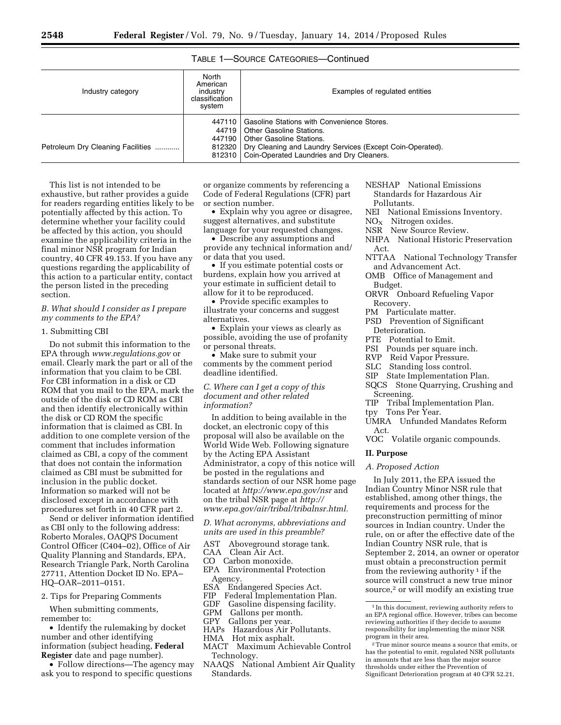TABLE 1—SOURCE CATEGORIES—Continued

| North<br>American<br>Industry category<br>industry<br>classification<br>system |        | Examples of regulated entities                                                                                                                                                                                                                  |  |  |  |
|--------------------------------------------------------------------------------|--------|-------------------------------------------------------------------------------------------------------------------------------------------------------------------------------------------------------------------------------------------------|--|--|--|
| Petroleum Dry Cleaning Facilities                                              | 447110 | Gasoline Stations with Convenience Stores.<br>44719   Other Gasoline Stations.<br>447190   Other Gasoline Stations.<br>812320   Dry Cleaning and Laundry Services (Except Coin-Operated).<br>812310   Coin-Operated Laundries and Dry Cleaners. |  |  |  |

This list is not intended to be exhaustive, but rather provides a guide for readers regarding entities likely to be potentially affected by this action. To determine whether your facility could be affected by this action, you should examine the applicability criteria in the final minor NSR program for Indian country, 40 CFR 49.153. If you have any questions regarding the applicability of this action to a particular entity, contact the person listed in the preceding section.

# *B. What should I consider as I prepare my comments to the EPA?*

#### 1. Submitting CBI

Do not submit this information to the EPA through *[www.regulations.gov](http://www.regulations.gov)* or email. Clearly mark the part or all of the information that you claim to be CBI. For CBI information in a disk or CD ROM that you mail to the EPA, mark the outside of the disk or CD ROM as CBI and then identify electronically within the disk or CD ROM the specific information that is claimed as CBI. In addition to one complete version of the comment that includes information claimed as CBI, a copy of the comment that does not contain the information claimed as CBI must be submitted for inclusion in the public docket. Information so marked will not be disclosed except in accordance with procedures set forth in 40 CFR part 2.

Send or deliver information identified as CBI only to the following address: Roberto Morales, OAQPS Document Control Officer (C404–02), Office of Air Quality Planning and Standards, EPA, Research Triangle Park, North Carolina 27711, Attention Docket ID No. EPA– HQ–OAR–2011–0151.

# 2. Tips for Preparing Comments

When submitting comments, remember to:

• Identify the rulemaking by docket number and other identifying information (subject heading, **Federal Register** date and page number).

• Follow directions—The agency may ask you to respond to specific questions

or organize comments by referencing a Code of Federal Regulations (CFR) part or section number.

• Explain why you agree or disagree, suggest alternatives, and substitute language for your requested changes.

• Describe any assumptions and provide any technical information and/ or data that you used.

• If you estimate potential costs or burdens, explain how you arrived at your estimate in sufficient detail to allow for it to be reproduced.

• Provide specific examples to illustrate your concerns and suggest alternatives.

• Explain your views as clearly as possible, avoiding the use of profanity or personal threats.

• Make sure to submit your comments by the comment period deadline identified.

# *C. Where can I get a copy of this document and other related information?*

In addition to being available in the docket, an electronic copy of this proposal will also be available on the World Wide Web. Following signature by the Acting EPA Assistant Administrator, a copy of this notice will be posted in the regulations and standards section of our NSR home page located at *<http://www.epa.gov/nsr>* and on the tribal NSR page at *[http://](http://www.epa.gov/air/tribal/tribalnsr.html) [www.epa.gov/air/tribal/tribalnsr.html.](http://www.epa.gov/air/tribal/tribalnsr.html)* 

# *D. What acronyms, abbreviations and units are used in this preamble?*

AST Aboveground storage tank.

CAA Clean Air Act.

- CO Carbon monoxide.
- EPA Environmental Protection
- Agency.
- ESA Endangered Species Act.
- FIP Federal Implementation Plan.<br>GDF Gasoline dispensing facility.
- GDF Gasoline dispensing facility.<br>GPM Gallons per month.
- Gallons per month.
- GPY Gallons per year.
- HAPs Hazardous Air Pollutants.
- HMA Hot mix asphalt.
- MACT Maximum Achievable Control Technology.
- NAAQS National Ambient Air Quality Standards.
- NESHAP National Emissions Standards for Hazardous Air Pollutants.
- NEI National Emissions Inventory.
- $NO<sub>x</sub>$  Nitrogen oxides.
- NSR New Source Review.
- NHPA National Historic Preservation Act.
- NTTAA National Technology Transfer and Advancement Act.
- OMB Office of Management and Budget.
- ORVR Onboard Refueling Vapor Recovery.
- PM Particulate matter.
- PSD Prevention of Significant Deterioration.
- PTE Potential to Emit.
- PSI Pounds per square inch.
- 
- RVP Reid Vapor Pressure.<br>SLC Standing loss control Standing loss control.
- SIP State Implementation Plan.
- SQCS Stone Quarrying, Crushing and Screening.
- TIP Tribal Implementation Plan.
- tpy Tons Per Year.
- UMRA Unfunded Mandates Reform Act.
- VOC Volatile organic compounds.

# **II. Purpose**

*A. Proposed Action* 

In July 2011, the EPA issued the Indian Country Minor NSR rule that established, among other things, the requirements and process for the preconstruction permitting of minor sources in Indian country. Under the rule, on or after the effective date of the Indian Country NSR rule, that is September 2, 2014, an owner or operator must obtain a preconstruction permit from the reviewing authority  $\frac{1}{1}$  if the source will construct a new true minor source,<sup>2</sup> or will modify an existing true

<sup>&</sup>lt;sup>1</sup> In this document, reviewing authority refers to an EPA regional office. However, tribes can become reviewing authorities if they decide to assume responsibility for implementing the minor NSR program in their area.

<sup>2</sup>True minor source means a source that emits, or has the potential to emit, regulated NSR pollutants in amounts that are less than the major source thresholds under either the Prevention of Significant Deterioration program at 40 CFR 52.21,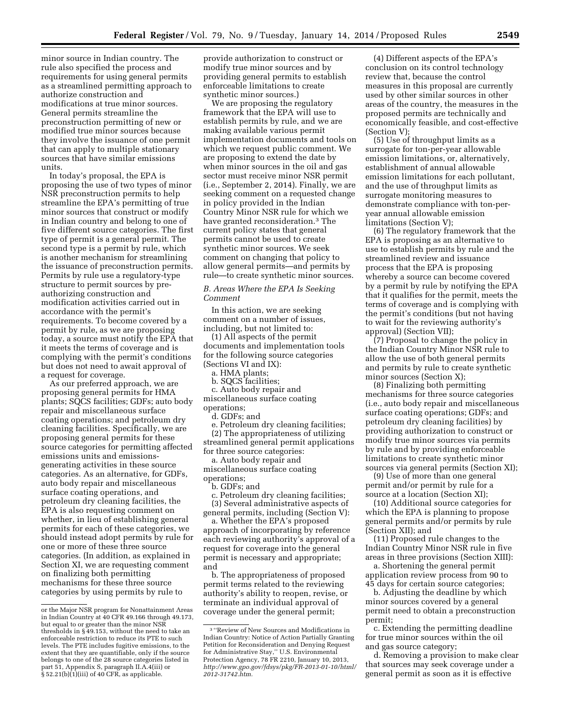minor source in Indian country. The rule also specified the process and requirements for using general permits as a streamlined permitting approach to authorize construction and modifications at true minor sources. General permits streamline the preconstruction permitting of new or modified true minor sources because they involve the issuance of one permit that can apply to multiple stationary sources that have similar emissions units.

In today's proposal, the EPA is proposing the use of two types of minor NSR preconstruction permits to help streamline the EPA's permitting of true minor sources that construct or modify in Indian country and belong to one of five different source categories. The first type of permit is a general permit. The second type is a permit by rule, which is another mechanism for streamlining the issuance of preconstruction permits. Permits by rule use a regulatory-type structure to permit sources by preauthorizing construction and modification activities carried out in accordance with the permit's requirements. To become covered by a permit by rule, as we are proposing today, a source must notify the EPA that it meets the terms of coverage and is complying with the permit's conditions but does not need to await approval of a request for coverage.

As our preferred approach, we are proposing general permits for HMA plants; SQCS facilities; GDFs; auto body repair and miscellaneous surface coating operations; and petroleum dry cleaning facilities. Specifically, we are proposing general permits for these source categories for permitting affected emissions units and emissionsgenerating activities in these source categories. As an alternative, for GDFs, auto body repair and miscellaneous surface coating operations, and petroleum dry cleaning facilities, the EPA is also requesting comment on whether, in lieu of establishing general permits for each of these categories, we should instead adopt permits by rule for one or more of these three source categories. (In addition, as explained in Section XI, we are requesting comment on finalizing both permitting mechanisms for these three source categories by using permits by rule to

provide authorization to construct or modify true minor sources and by providing general permits to establish enforceable limitations to create synthetic minor sources.)

We are proposing the regulatory framework that the EPA will use to establish permits by rule, and we are making available various permit implementation documents and tools on which we request public comment. We are proposing to extend the date by when minor sources in the oil and gas sector must receive minor NSR permit (i.e., September 2, 2014). Finally, we are seeking comment on a requested change in policy provided in the Indian Country Minor NSR rule for which we have granted reconsideration.3 The current policy states that general permits cannot be used to create synthetic minor sources. We seek comment on changing that policy to allow general permits—and permits by rule—to create synthetic minor sources.

#### *B. Areas Where the EPA Is Seeking Comment*

In this action, we are seeking comment on a number of issues, including, but not limited to:

(1) All aspects of the permit documents and implementation tools for the following source categories (Sections VI and IX):

a. HMA plants;

b. SQCS facilities;

c. Auto body repair and

miscellaneous surface coating operations;

d. GDFs; and

e. Petroleum dry cleaning facilities; (2) The appropriateness of utilizing streamlined general permit applications for three source categories:

a. Auto body repair and

miscellaneous surface coating operations;

b. GDFs; and

c. Petroleum dry cleaning facilities; (3) Several administrative aspects of

general permits, including (Section V): a. Whether the EPA's proposed

approach of incorporating by reference each reviewing authority's approval of a request for coverage into the general permit is necessary and appropriate; and

b. The appropriateness of proposed permit terms related to the reviewing authority's ability to reopen, revise, or terminate an individual approval of coverage under the general permit;

(4) Different aspects of the EPA's conclusion on its control technology review that, because the control measures in this proposal are currently used by other similar sources in other areas of the country, the measures in the proposed permits are technically and economically feasible, and cost-effective (Section V);

(5) Use of throughput limits as a surrogate for ton-per-year allowable emission limitations, or, alternatively, establishment of annual allowable emission limitations for each pollutant, and the use of throughput limits as surrogate monitoring measures to demonstrate compliance with ton-peryear annual allowable emission limitations (Section V);

(6) The regulatory framework that the EPA is proposing as an alternative to use to establish permits by rule and the streamlined review and issuance process that the EPA is proposing whereby a source can become covered by a permit by rule by notifying the EPA that it qualifies for the permit, meets the terms of coverage and is complying with the permit's conditions (but not having to wait for the reviewing authority's approval) (Section VII);

(7) Proposal to change the policy in the Indian Country Minor NSR rule to allow the use of both general permits and permits by rule to create synthetic minor sources (Section X);

(8) Finalizing both permitting mechanisms for three source categories (i.e., auto body repair and miscellaneous surface coating operations; GDFs; and petroleum dry cleaning facilities) by providing authorization to construct or modify true minor sources via permits by rule and by providing enforceable limitations to create synthetic minor sources via general permits (Section XI);

(9) Use of more than one general permit and/or permit by rule for a source at a location (Section XI);

(10) Additional source categories for which the EPA is planning to propose general permits and/or permits by rule (Section XII); and

(11) Proposed rule changes to the Indian Country Minor NSR rule in five areas in three provisions (Section XIII):

a. Shortening the general permit application review process from 90 to 45 days for certain source categories;

b. Adjusting the deadline by which minor sources covered by a general permit need to obtain a preconstruction permit;

c. Extending the permitting deadline for true minor sources within the oil and gas source category;

d. Removing a provision to make clear that sources may seek coverage under a general permit as soon as it is effective

or the Major NSR program for Nonattainment Areas in Indian Country at 40 CFR 49.166 through 49.173, but equal to or greater than the minor NSR thresholds in § 49.153, without the need to take an enforceable restriction to reduce its PTE to such levels. The PTE includes fugitive emissions, to the extent that they are quantifiable, only if the source belongs to one of the 28 source categories listed in part 51, Appendix S, paragraph II.A.4(iii) or § 52.21(b)(1)(iii) of 40 CFR, as applicable.

<sup>3</sup> ''Review of New Sources and Modifications in Indian Country: Notice of Action Partially Granting Petition for Reconsideration and Denying Request for Administrative Stay,'' U.S. Environmental Protection Agency, 78 FR 2210, January 10, 2013, *[http://www.gpo.gov/fdsys/pkg/FR-2013-01-10/html/](http://www.gpo.gov/fdsys/pkg/FR-2013-01-10/html/2012-31742.htm) [2012-31742.htm.](http://www.gpo.gov/fdsys/pkg/FR-2013-01-10/html/2012-31742.htm)*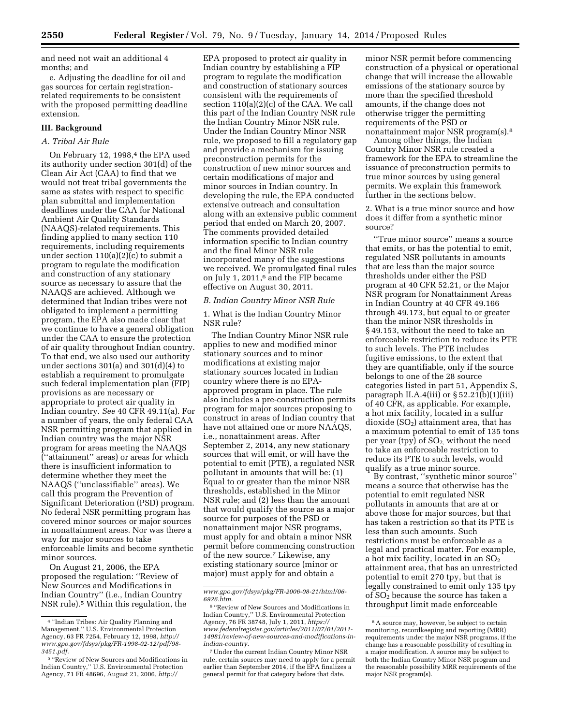and need not wait an additional 4 months; and

e. Adjusting the deadline for oil and gas sources for certain registrationrelated requirements to be consistent with the proposed permitting deadline extension.

#### **III. Background**

## *A. Tribal Air Rule*

On February 12, 1998,<sup>4</sup> the EPA used its authority under section 301(d) of the Clean Air Act (CAA) to find that we would not treat tribal governments the same as states with respect to specific plan submittal and implementation deadlines under the CAA for National Ambient Air Quality Standards (NAAQS)-related requirements. This finding applied to many section 110 requirements, including requirements under section 110(a)(2)(c) to submit a program to regulate the modification and construction of any stationary source as necessary to assure that the NAAQS are achieved. Although we determined that Indian tribes were not obligated to implement a permitting program, the EPA also made clear that we continue to have a general obligation under the CAA to ensure the protection of air quality throughout Indian country. To that end, we also used our authority under sections 301(a) and 301(d)(4) to establish a requirement to promulgate such federal implementation plan (FIP) provisions as are necessary or appropriate to protect air quality in Indian country. *See* 40 CFR 49.11(a). For a number of years, the only federal CAA NSR permitting program that applied in Indian country was the major NSR program for areas meeting the NAAQS (''attainment'' areas) or areas for which there is insufficient information to determine whether they meet the NAAQS (''unclassifiable'' areas). We call this program the Prevention of Significant Deterioration (PSD) program. No federal NSR permitting program has covered minor sources or major sources in nonattainment areas. Nor was there a way for major sources to take enforceable limits and become synthetic minor sources.

On August 21, 2006, the EPA proposed the regulation: ''Review of New Sources and Modifications in Indian Country'' (i.e., Indian Country NSR rule).5 Within this regulation, the

EPA proposed to protect air quality in Indian country by establishing a FIP program to regulate the modification and construction of stationary sources consistent with the requirements of section 110(a)(2)(c) of the CAA. We call this part of the Indian Country NSR rule the Indian Country Minor NSR rule. Under the Indian Country Minor NSR rule, we proposed to fill a regulatory gap and provide a mechanism for issuing preconstruction permits for the construction of new minor sources and certain modifications of major and minor sources in Indian country. In developing the rule, the EPA conducted extensive outreach and consultation along with an extensive public comment period that ended on March 20, 2007. The comments provided detailed information specific to Indian country and the final Minor NSR rule incorporated many of the suggestions we received. We promulgated final rules on July 1, 2011,6 and the FIP became effective on August 30, 2011.

#### *B. Indian Country Minor NSR Rule*

1. What is the Indian Country Minor NSR rule?

The Indian Country Minor NSR rule applies to new and modified minor stationary sources and to minor modifications at existing major stationary sources located in Indian country where there is no EPAapproved program in place. The rule also includes a pre-construction permits program for major sources proposing to construct in areas of Indian country that have not attained one or more NAAQS, i.e., nonattainment areas. After September 2, 2014, any new stationary sources that will emit, or will have the potential to emit (PTE), a regulated NSR pollutant in amounts that will be: (1) Equal to or greater than the minor NSR thresholds, established in the Minor NSR rule; and (2) less than the amount that would qualify the source as a major source for purposes of the PSD or nonattainment major NSR programs, must apply for and obtain a minor NSR permit before commencing construction of the new source.7 Likewise, any existing stationary source (minor or major) must apply for and obtain a

minor NSR permit before commencing construction of a physical or operational change that will increase the allowable emissions of the stationary source by more than the specified threshold amounts, if the change does not otherwise trigger the permitting requirements of the PSD or nonattainment major NSR program(s).8

Among other things, the Indian Country Minor NSR rule created a framework for the EPA to streamline the issuance of preconstruction permits to true minor sources by using general permits. We explain this framework further in the sections below.

2. What is a true minor source and how does it differ from a synthetic minor source?

''True minor source'' means a source that emits, or has the potential to emit, regulated NSR pollutants in amounts that are less than the major source thresholds under either the PSD program at 40 CFR 52.21, or the Major NSR program for Nonattainment Areas in Indian Country at 40 CFR 49.166 through 49.173, but equal to or greater than the minor NSR thresholds in § 49.153, without the need to take an enforceable restriction to reduce its PTE to such levels. The PTE includes fugitive emissions, to the extent that they are quantifiable, only if the source belongs to one of the 28 source categories listed in part 51, Appendix S, paragraph II.A.4(iii) or  $\S$  52.21(b)(1)(iii) of 40 CFR, as applicable. For example, a hot mix facility, located in a sulfur dioxide  $(SO<sub>2</sub>)$  attainment area, that has a maximum potential to emit of 135 tons per year (tpy) of  $SO<sub>2</sub>$ , without the need to take an enforceable restriction to reduce its PTE to such levels, would qualify as a true minor source.

By contrast, ''synthetic minor source'' means a source that otherwise has the potential to emit regulated NSR pollutants in amounts that are at or above those for major sources, but that has taken a restriction so that its PTE is less than such amounts. Such restrictions must be enforceable as a legal and practical matter. For example, a hot mix facility, located in an  $\mathrm{SO}_2$ attainment area, that has an unrestricted potential to emit 270 tpy, but that is legally constrained to emit only 135 tpy of SO2 because the source has taken a throughput limit made enforceable

<sup>4</sup> ''Indian Tribes: Air Quality Planning and Management,'' U.S. Environmental Protection Agency, 63 FR 7254, February 12, 1998, *[http://](http://www.gpo.gov/fdsys/pkg/FR-1998-02-12/pdf/98-3451.pdf) [www.gpo.gov/fdsys/pkg/FR-1998-02-12/pdf/98-](http://www.gpo.gov/fdsys/pkg/FR-1998-02-12/pdf/98-3451.pdf) [3451.pdf.](http://www.gpo.gov/fdsys/pkg/FR-1998-02-12/pdf/98-3451.pdf)* 

<sup>5</sup> ''Review of New Sources and Modifications in Indian Country,'' U.S. Environmental Protection Agency, 71 FR 48696, August 21, 2006, *[http://](http://www.gpo.gov/fdsys/pkg/FR-2006-08-21/html/06-6926.htm)*

*[www.gpo.gov/fdsys/pkg/FR-2006-08-21/html/06-](http://www.gpo.gov/fdsys/pkg/FR-2006-08-21/html/06-6926.htm) [6926.htm.](http://www.gpo.gov/fdsys/pkg/FR-2006-08-21/html/06-6926.htm)* 

<sup>6</sup> ''Review of New Sources and Modifications in Indian Country,'' U.S. Environmental Protection Agency, 76 FR 38748, July 1, 2011, *[https://](https://www.federalregister.gov/articles/2011/07/01/2011-14981/review-of-new-sources-and-modifications-in-indian-country) [www.federalregister.gov/articles/2011/07/01/2011-](https://www.federalregister.gov/articles/2011/07/01/2011-14981/review-of-new-sources-and-modifications-in-indian-country) [14981/review-of-new-sources-and-modifications-in](https://www.federalregister.gov/articles/2011/07/01/2011-14981/review-of-new-sources-and-modifications-in-indian-country)[indian-country.](https://www.federalregister.gov/articles/2011/07/01/2011-14981/review-of-new-sources-and-modifications-in-indian-country)* 

<sup>7</sup>Under the current Indian Country Minor NSR rule, certain sources may need to apply for a permit earlier than September 2014, if the EPA finalizes a general permit for that category before that date.

<sup>&</sup>lt;sup>8</sup> A source may, however, be subject to certain monitoring, recordkeeping and reporting (MRR) requirements under the major NSR programs, if the change has a reasonable possibility of resulting in a major modification. A source may be subject to both the Indian Country Minor NSR program and the reasonable possibility MRR requirements of the major NSR program(s).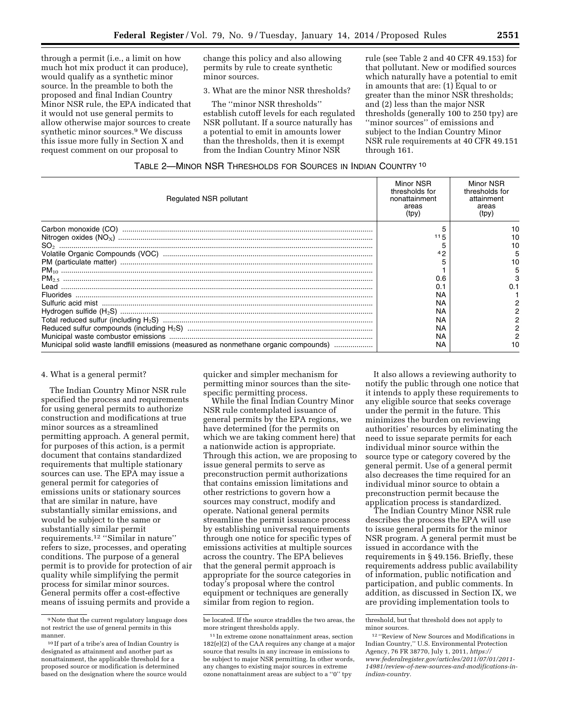through a permit (i.e., a limit on how much hot mix product it can produce), would qualify as a synthetic minor source. In the preamble to both the proposed and final Indian Country Minor NSR rule, the EPA indicated that it would not use general permits to allow otherwise major sources to create synthetic minor sources.9 We discuss this issue more fully in Section X and request comment on our proposal to

change this policy and also allowing permits by rule to create synthetic minor sources.

3. What are the minor NSR thresholds?

The ''minor NSR thresholds'' establish cutoff levels for each regulated NSR pollutant. If a source naturally has a potential to emit in amounts lower than the thresholds, then it is exempt from the Indian Country Minor NSR

rule (see Table 2 and 40 CFR 49.153) for that pollutant. New or modified sources which naturally have a potential to emit in amounts that are: (1) Equal to or greater than the minor NSR thresholds; and (2) less than the major NSR thresholds (generally 100 to 250 tpy) are ''minor sources'' of emissions and subject to the Indian Country Minor NSR rule requirements at 40 CFR 49.151 through 161.

| Regulated NSR pollutant                                                                                                                                                                                                                                                                                                                                                                                                                                                                                                  | Minor NSR<br>thresholds for<br>nonattainment<br>areas<br>(tpy) | Minor NSR<br>thresholds for<br>attainment<br>areas<br>(tpy) |
|--------------------------------------------------------------------------------------------------------------------------------------------------------------------------------------------------------------------------------------------------------------------------------------------------------------------------------------------------------------------------------------------------------------------------------------------------------------------------------------------------------------------------|----------------------------------------------------------------|-------------------------------------------------------------|
| $\begin{minipage}{0.9\linewidth} \textbf{Carbon monoxide (CO)} \end{minipage} \begin{minipage}{0.9\linewidth} \textbf{Cayion} \end{minipage} \begin{minipage}{0.9\linewidth} \textbf{Cayion} \end{minipage} \begin{minipage}{0.9\linewidth} \textbf{Cayion} \end{minipage} \begin{minipage}{0.9\linewidth} \textbf{Cayion} \end{minipage} \begin{minipage}{0.9\linewidth} \textbf{Cayion} \end{minipage} \begin{minipage}{0.9\linewidth} \textbf{Cayion} \end{minipage} \begin{minipage}{0.9\linewidth} \textbf{Cayion}$ |                                                                |                                                             |
|                                                                                                                                                                                                                                                                                                                                                                                                                                                                                                                          | 115                                                            |                                                             |
|                                                                                                                                                                                                                                                                                                                                                                                                                                                                                                                          |                                                                |                                                             |
|                                                                                                                                                                                                                                                                                                                                                                                                                                                                                                                          | 42                                                             |                                                             |
|                                                                                                                                                                                                                                                                                                                                                                                                                                                                                                                          |                                                                |                                                             |
|                                                                                                                                                                                                                                                                                                                                                                                                                                                                                                                          |                                                                |                                                             |
|                                                                                                                                                                                                                                                                                                                                                                                                                                                                                                                          | 0.6                                                            |                                                             |
| l ead.                                                                                                                                                                                                                                                                                                                                                                                                                                                                                                                   |                                                                |                                                             |
|                                                                                                                                                                                                                                                                                                                                                                                                                                                                                                                          | ΝA                                                             |                                                             |
|                                                                                                                                                                                                                                                                                                                                                                                                                                                                                                                          | NA                                                             |                                                             |
|                                                                                                                                                                                                                                                                                                                                                                                                                                                                                                                          | ΝA                                                             |                                                             |
|                                                                                                                                                                                                                                                                                                                                                                                                                                                                                                                          | ΝA                                                             |                                                             |
|                                                                                                                                                                                                                                                                                                                                                                                                                                                                                                                          | ΝA                                                             |                                                             |
|                                                                                                                                                                                                                                                                                                                                                                                                                                                                                                                          | ΝA                                                             |                                                             |
| Municipal solid waste landfill emissions (measured as nonmethane organic compounds)                                                                                                                                                                                                                                                                                                                                                                                                                                      | NA                                                             |                                                             |

#### 4. What is a general permit?

The Indian Country Minor NSR rule specified the process and requirements for using general permits to authorize construction and modifications at true minor sources as a streamlined permitting approach. A general permit, for purposes of this action, is a permit document that contains standardized requirements that multiple stationary sources can use. The EPA may issue a general permit for categories of emissions units or stationary sources that are similar in nature, have substantially similar emissions, and would be subject to the same or substantially similar permit requirements.12 ''Similar in nature'' refers to size, processes, and operating conditions. The purpose of a general permit is to provide for protection of air quality while simplifying the permit process for similar minor sources. General permits offer a cost-effective means of issuing permits and provide a

quicker and simpler mechanism for permitting minor sources than the sitespecific permitting process.

While the final Indian Country Minor NSR rule contemplated issuance of general permits by the EPA regions, we have determined (for the permits on which we are taking comment here) that a nationwide action is appropriate. Through this action, we are proposing to issue general permits to serve as preconstruction permit authorizations that contains emission limitations and other restrictions to govern how a sources may construct, modify and operate. National general permits streamline the permit issuance process by establishing universal requirements through one notice for specific types of emissions activities at multiple sources across the country. The EPA believes that the general permit approach is appropriate for the source categories in today's proposal where the control equipment or techniques are generally similar from region to region.

It also allows a reviewing authority to notify the public through one notice that it intends to apply these requirements to any eligible source that seeks coverage under the permit in the future. This minimizes the burden on reviewing authorities' resources by eliminating the need to issue separate permits for each individual minor source within the source type or category covered by the general permit. Use of a general permit also decreases the time required for an individual minor source to obtain a preconstruction permit because the application process is standardized.

The Indian Country Minor NSR rule describes the process the EPA will use to issue general permits for the minor NSR program. A general permit must be issued in accordance with the requirements in § 49.156. Briefly, these requirements address public availability of information, public notification and participation, and public comments. In addition, as discussed in Section IX, we are providing implementation tools to

<sup>9</sup>Note that the current regulatory language does not restrict the use of general permits in this manner.

<sup>10</sup> If part of a tribe's area of Indian Country is designated as attainment and another part as nonattainment, the applicable threshold for a proposed source or modification is determined based on the designation where the source would

be located. If the source straddles the two areas, the more stringent thresholds apply.

<sup>11</sup> In extreme ozone nonattainment areas, section 182(e)(2) of the CAA requires any change at a major source that results in any increase in emissions to be subject to major NSR permitting. In other words, any changes to existing major sources in extreme ozone nonattainment areas are subject to a ''0'' tpy

threshold, but that threshold does not apply to minor sources.

<sup>12</sup> ''Review of New Sources and Modifications in Indian Country,'' U.S. Environmental Protection Agency, 76 FR 38770, July 1, 2011, *[https://](https://www.federalregister.gov/articles/2011/07/01/2011-14981/review-of-new-sources-and-modifications-in-indian-country) [www.federalregister.gov/articles/2011/07/01/2011-](https://www.federalregister.gov/articles/2011/07/01/2011-14981/review-of-new-sources-and-modifications-in-indian-country) [14981/review-of-new-sources-and-modifications-in](https://www.federalregister.gov/articles/2011/07/01/2011-14981/review-of-new-sources-and-modifications-in-indian-country)[indian-country.](https://www.federalregister.gov/articles/2011/07/01/2011-14981/review-of-new-sources-and-modifications-in-indian-country)*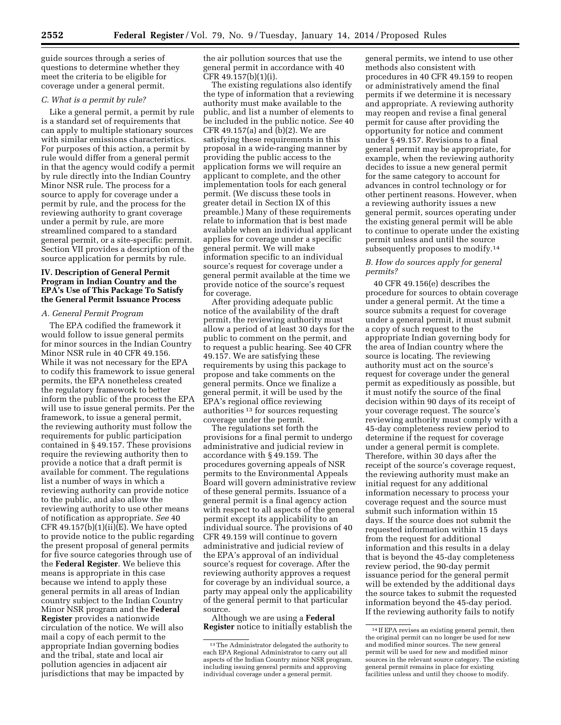guide sources through a series of questions to determine whether they meet the criteria to be eligible for coverage under a general permit.

#### *C. What is a permit by rule?*

Like a general permit, a permit by rule is a standard set of requirements that can apply to multiple stationary sources with similar emissions characteristics. For purposes of this action, a permit by rule would differ from a general permit in that the agency would codify a permit by rule directly into the Indian Country Minor NSR rule. The process for a source to apply for coverage under a permit by rule, and the process for the reviewing authority to grant coverage under a permit by rule, are more streamlined compared to a standard general permit, or a site-specific permit. Section VII provides a description of the source application for permits by rule.

# **IV. Description of General Permit Program in Indian Country and the EPA's Use of This Package To Satisfy the General Permit Issuance Process**

#### *A. General Permit Program*

The EPA codified the framework it would follow to issue general permits for minor sources in the Indian Country Minor NSR rule in 40 CFR 49.156. While it was not necessary for the EPA to codify this framework to issue general permits, the EPA nonetheless created the regulatory framework to better inform the public of the process the EPA will use to issue general permits. Per the framework, to issue a general permit, the reviewing authority must follow the requirements for public participation contained in § 49.157. These provisions require the reviewing authority then to provide a notice that a draft permit is available for comment. The regulations list a number of ways in which a reviewing authority can provide notice to the public, and also allow the reviewing authority to use other means of notification as appropriate. *See* 40 CFR 49.157(b)(1)(ii)(E). We have opted to provide notice to the public regarding the present proposal of general permits for five source categories through use of the **Federal Register**. We believe this means is appropriate in this case because we intend to apply these general permits in all areas of Indian country subject to the Indian Country Minor NSR program and the **Federal Register** provides a nationwide circulation of the notice. We will also mail a copy of each permit to the appropriate Indian governing bodies and the tribal, state and local air pollution agencies in adjacent air jurisdictions that may be impacted by

the air pollution sources that use the general permit in accordance with 40 CFR 49.157(b)(1)(i).

The existing regulations also identify the type of information that a reviewing authority must make available to the public, and list a number of elements to be included in the public notice. *See* 40 CFR 49.157(a) and (b)(2). We are satisfying these requirements in this proposal in a wide-ranging manner by providing the public access to the application forms we will require an applicant to complete, and the other implementation tools for each general permit. (We discuss these tools in greater detail in Section IX of this preamble.) Many of these requirements relate to information that is best made available when an individual applicant applies for coverage under a specific general permit. We will make information specific to an individual source's request for coverage under a general permit available at the time we provide notice of the source's request for coverage.

After providing adequate public notice of the availability of the draft permit, the reviewing authority must allow a period of at least 30 days for the public to comment on the permit, and to request a public hearing. See 40 CFR 49.157. We are satisfying these requirements by using this package to propose and take comments on the general permits. Once we finalize a general permit, it will be used by the EPA's regional office reviewing authorities 13 for sources requesting coverage under the permit.

The regulations set forth the provisions for a final permit to undergo administrative and judicial review in accordance with § 49.159. The procedures governing appeals of NSR permits to the Environmental Appeals Board will govern administrative review of these general permits. Issuance of a general permit is a final agency action with respect to all aspects of the general permit except its applicability to an individual source. The provisions of 40 CFR 49.159 will continue to govern administrative and judicial review of the EPA's approval of an individual source's request for coverage. After the reviewing authority approves a request for coverage by an individual source, a party may appeal only the applicability of the general permit to that particular source.

Although we are using a **Federal Register** notice to initially establish the general permits, we intend to use other methods also consistent with procedures in 40 CFR 49.159 to reopen or administratively amend the final permits if we determine it is necessary and appropriate. A reviewing authority may reopen and revise a final general permit for cause after providing the opportunity for notice and comment under § 49.157. Revisions to a final general permit may be appropriate, for example, when the reviewing authority decides to issue a new general permit for the same category to account for advances in control technology or for other pertinent reasons. However, when a reviewing authority issues a new general permit, sources operating under the existing general permit will be able to continue to operate under the existing permit unless and until the source subsequently proposes to modify.14

# *B. How do sources apply for general permits?*

40 CFR 49.156(e) describes the procedure for sources to obtain coverage under a general permit. At the time a source submits a request for coverage under a general permit, it must submit a copy of such request to the appropriate Indian governing body for the area of Indian country where the source is locating. The reviewing authority must act on the source's request for coverage under the general permit as expeditiously as possible, but it must notify the source of the final decision within 90 days of its receipt of your coverage request. The source's reviewing authority must comply with a 45-day completeness review period to determine if the request for coverage under a general permit is complete. Therefore, within 30 days after the receipt of the source's coverage request, the reviewing authority must make an initial request for any additional information necessary to process your coverage request and the source must submit such information within 15 days. If the source does not submit the requested information within 15 days from the request for additional information and this results in a delay that is beyond the 45-day completeness review period, the 90-day permit issuance period for the general permit will be extended by the additional days the source takes to submit the requested information beyond the 45-day period. If the reviewing authority fails to notify

<sup>13</sup>The Administrator delegated the authority to each EPA Regional Administrator to carry out all aspects of the Indian Country minor NSR program, including issuing general permits and approving individual coverage under a general permit.

<sup>14</sup> If EPA revises an existing general permit, then the original permit can no longer be used for new and modified minor sources. The new general permit will be used for new and modified minor sources in the relevant source category. The existing general permit remains in place for existing facilities unless and until they choose to modify.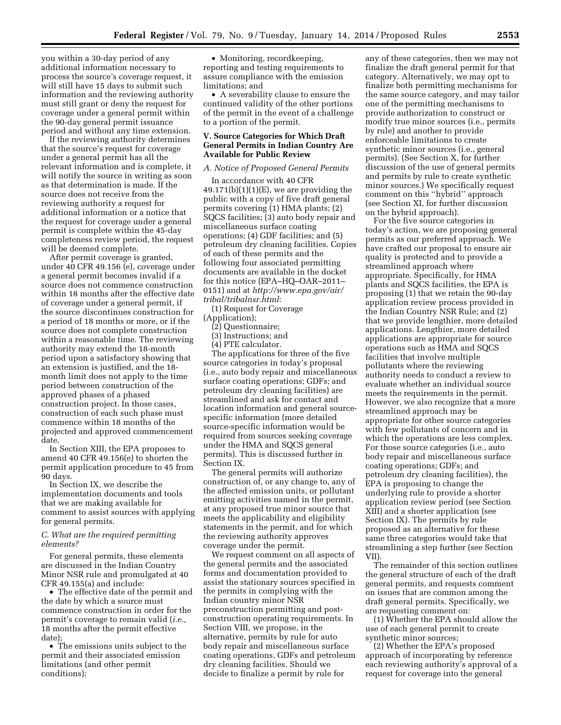you within a 30-day period of any additional information necessary to process the source's coverage request, it will still have 15 days to submit such information and the reviewing authority must still grant or deny the request for coverage under a general permit within the 90-day general permit issuance period and without any time extension.

If the reviewing authority determines that the source's request for coverage under a general permit has all the relevant information and is complete, it will notify the source in writing as soon as that determination is made. If the source does not receive from the reviewing authority a request for additional information or a notice that the request for coverage under a general permit is complete within the 45-day completeness review period, the request will be deemed complete.

After permit coverage is granted, under 40 CFR 49.156 (e), coverage under a general permit becomes invalid if a source does not commence construction within 18 months after the effective date of coverage under a general permit, if the source discontinues construction for a period of 18 months or more, or if the source does not complete construction within a reasonable time. The reviewing authority may extend the 18-month period upon a satisfactory showing that an extension is justified, and the 18 month limit does not apply to the time period between construction of the approved phases of a phased construction project. In those cases, construction of each such phase must commence within 18 months of the projected and approved commencement date.

In Section XIII, the EPA proposes to amend 40 CFR 49.156(e) to shorten the permit application procedure to 45 from 90 days.

In Section IX, we describe the implementation documents and tools that we are making available for comment to assist sources with applying for general permits.

# *C. What are the required permitting elements?*

For general permits, these elements are discussed in the Indian Country Minor NSR rule and promulgated at 40 CFR 49.155(a) and include:

• The effective date of the permit and the date by which a source must commence construction in order for the permit's coverage to remain valid (*i.e.,*  18 months after the permit effective date);

• The emissions units subject to the permit and their associated emission limitations (and other permit conditions);

• Monitoring, recordkeeping, reporting and testing requirements to assure compliance with the emission limitations; and

• A severability clause to ensure the continued validity of the other portions of the permit in the event of a challenge to a portion of the permit.

# **V. Source Categories for Which Draft General Permits in Indian Country Are Available for Public Review**

#### *A. Notice of Proposed General Permits*

In accordance with 40 CFR  $49.171(b)(1)(1)(E)$ , we are providing the public with a copy of five draft general permits covering (1) HMA plants; (2) SQCS facilities; (3) auto body repair and miscellaneous surface coating operations; (4) GDF facilities; and (5) petroleum dry cleaning facilities. Copies of each of these permits and the following four associated permitting documents are available in the docket for this notice (EPA–HQ–OAR–2011– 0151) and at *[http://www.epa.gov/air/](http://www.epa.gov/air/tribal/tribalnsr.html) [tribal/tribalnsr.html](http://www.epa.gov/air/tribal/tribalnsr.html)*:

(1) Request for Coverage (Application);

- (2) Questionnaire;
- (3) Instructions; and
- (4) PTE calculator.

The applications for three of the five source categories in today's proposal (i.e., auto body repair and miscellaneous surface coating operations; GDFs; and petroleum dry cleaning facilities) are streamlined and ask for contact and location information and general sourcespecific information (more detailed source-specific information would be required from sources seeking coverage under the HMA and SQCS general permits). This is discussed further in Section IX.

The general permits will authorize construction of, or any change to, any of the affected emission units, or pollutant emitting activities named in the permit, at any proposed true minor source that meets the applicability and eligibility statements in the permit, and for which the reviewing authority approves coverage under the permit.

We request comment on all aspects of the general permits and the associated forms and documentation provided to assist the stationary sources specified in the permits in complying with the Indian country minor NSR preconstruction permitting and postconstruction operating requirements. In Section VIII, we propose, in the alternative, permits by rule for auto body repair and miscellaneous surface coating operations, GDFs and petroleum dry cleaning facilities. Should we decide to finalize a permit by rule for

any of these categories, then we may not finalize the draft general permit for that category. Alternatively, we may opt to finalize both permitting mechanisms for the same source category, and may tailor one of the permitting mechanisms to provide authorization to construct or modify true minor sources (i.e., permits by rule) and another to provide enforceable limitations to create synthetic minor sources (i.e., general permits). (See Section X, for further discussion of the use of general permits and permits by rule to create synthetic minor sources.) We specifically request comment on this ''hybrid'' approach (see Section XI, for further discussion on the hybrid approach).

For the five source categories in today's action, we are proposing general permits as our preferred approach. We have crafted our proposal to ensure air quality is protected and to provide a streamlined approach where appropriate. Specifically, for HMA plants and SQCS facilities, the EPA is proposing (1) that we retain the 90-day application review process provided in the Indian Country NSR Rule; and (2) that we provide lengthier, more detailed applications. Lengthier, more detailed applications are appropriate for source operations such as HMA and SQCS facilities that involve multiple pollutants where the reviewing authority needs to conduct a review to evaluate whether an individual source meets the requirements in the permit. However, we also recognize that a more streamlined approach may be appropriate for other source categories with few pollutants of concern and in which the operations are less complex. For those source categories (i.e., auto body repair and miscellaneous surface coating operations; GDFs; and petroleum dry cleaning facilities), the EPA is proposing to change the underlying rule to provide a shorter application review period (see Section XIII) and a shorter application (see Section IX). The permits by rule proposed as an alternative for these same three categories would take that streamlining a step further (see Section VII).

The remainder of this section outlines the general structure of each of the draft general permits, and requests comment on issues that are common among the draft general permits. Specifically, we are requesting comment on:

(1) Whether the EPA should allow the use of each general permit to create synthetic minor sources;

(2) Whether the EPA's proposed approach of incorporating by reference each reviewing authority's approval of a request for coverage into the general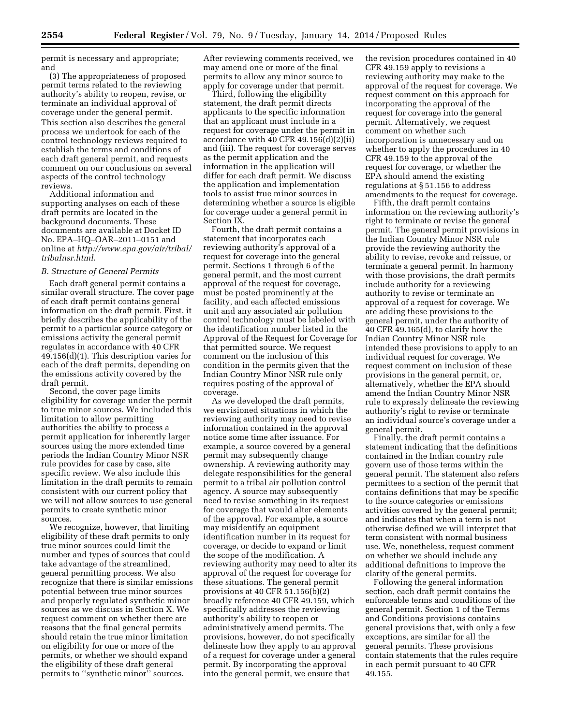permit is necessary and appropriate; and

(3) The appropriateness of proposed permit terms related to the reviewing authority's ability to reopen, revise, or terminate an individual approval of coverage under the general permit. This section also describes the general process we undertook for each of the control technology reviews required to establish the terms and conditions of each draft general permit, and requests comment on our conclusions on several aspects of the control technology reviews.

Additional information and supporting analyses on each of these draft permits are located in the background documents. These documents are available at Docket ID No. EPA–HQ–OAR–2011–0151 and online at *[http://www.epa.gov/air/tribal/](http://www.epa.gov/air/tribal/tribalnsr.html) [tribalnsr.html](http://www.epa.gov/air/tribal/tribalnsr.html)*.

#### *B. Structure of General Permits*

Each draft general permit contains a similar overall structure. The cover page of each draft permit contains general information on the draft permit. First, it briefly describes the applicability of the permit to a particular source category or emissions activity the general permit regulates in accordance with 40 CFR 49.156(d)(1). This description varies for each of the draft permits, depending on the emissions activity covered by the draft permit.

Second, the cover page limits eligibility for coverage under the permit to true minor sources. We included this limitation to allow permitting authorities the ability to process a permit application for inherently larger sources using the more extended time periods the Indian Country Minor NSR rule provides for case by case, site specific review. We also include this limitation in the draft permits to remain consistent with our current policy that we will not allow sources to use general permits to create synthetic minor sources.

We recognize, however, that limiting eligibility of these draft permits to only true minor sources could limit the number and types of sources that could take advantage of the streamlined, general permitting process. We also recognize that there is similar emissions potential between true minor sources and properly regulated synthetic minor sources as we discuss in Section X. We request comment on whether there are reasons that the final general permits should retain the true minor limitation on eligibility for one or more of the permits, or whether we should expand the eligibility of these draft general permits to ''synthetic minor'' sources.

After reviewing comments received, we may amend one or more of the final permits to allow any minor source to apply for coverage under that permit.

Third, following the eligibility statement, the draft permit directs applicants to the specific information that an applicant must include in a request for coverage under the permit in accordance with 40 CFR  $49.156(d)(2)(ii)$ and (iii). The request for coverage serves as the permit application and the information in the application will differ for each draft permit. We discuss the application and implementation tools to assist true minor sources in determining whether a source is eligible for coverage under a general permit in Section IX.

Fourth, the draft permit contains a statement that incorporates each reviewing authority's approval of a request for coverage into the general permit. Sections 1 through 6 of the general permit, and the most current approval of the request for coverage, must be posted prominently at the facility, and each affected emissions unit and any associated air pollution control technology must be labeled with the identification number listed in the Approval of the Request for Coverage for that permitted source. We request comment on the inclusion of this condition in the permits given that the Indian Country Minor NSR rule only requires posting of the approval of coverage.

As we developed the draft permits, we envisioned situations in which the reviewing authority may need to revise information contained in the approval notice some time after issuance. For example, a source covered by a general permit may subsequently change ownership. A reviewing authority may delegate responsibilities for the general permit to a tribal air pollution control agency. A source may subsequently need to revise something in its request for coverage that would alter elements of the approval. For example, a source may misidentify an equipment identification number in its request for coverage, or decide to expand or limit the scope of the modification. A reviewing authority may need to alter its approval of the request for coverage for these situations. The general permit provisions at 40 CFR 51.156(b)(2) broadly reference 40 CFR 49.159, which specifically addresses the reviewing authority's ability to reopen or administratively amend permits. The provisions, however, do not specifically delineate how they apply to an approval of a request for coverage under a general permit. By incorporating the approval into the general permit, we ensure that

the revision procedures contained in 40 CFR 49.159 apply to revisions a reviewing authority may make to the approval of the request for coverage. We request comment on this approach for incorporating the approval of the request for coverage into the general permit. Alternatively, we request comment on whether such incorporation is unnecessary and on whether to apply the procedures in 40 CFR 49.159 to the approval of the request for coverage, or whether the EPA should amend the existing regulations at § 51.156 to address amendments to the request for coverage.

Fifth, the draft permit contains information on the reviewing authority's right to terminate or revise the general permit. The general permit provisions in the Indian Country Minor NSR rule provide the reviewing authority the ability to revise, revoke and reissue, or terminate a general permit. In harmony with those provisions, the draft permits include authority for a reviewing authority to revise or terminate an approval of a request for coverage. We are adding these provisions to the general permit, under the authority of 40 CFR 49.165(d), to clarify how the Indian Country Minor NSR rule intended these provisions to apply to an individual request for coverage. We request comment on inclusion of these provisions in the general permit, or, alternatively, whether the EPA should amend the Indian Country Minor NSR rule to expressly delineate the reviewing authority's right to revise or terminate an individual source's coverage under a general permit.

Finally, the draft permit contains a statement indicating that the definitions contained in the Indian country rule govern use of those terms within the general permit. The statement also refers permittees to a section of the permit that contains definitions that may be specific to the source categories or emissions activities covered by the general permit; and indicates that when a term is not otherwise defined we will interpret that term consistent with normal business use. We, nonetheless, request comment on whether we should include any additional definitions to improve the clarity of the general permits.

Following the general information section, each draft permit contains the enforceable terms and conditions of the general permit. Section 1 of the Terms and Conditions provisions contains general provisions that, with only a few exceptions, are similar for all the general permits. These provisions contain statements that the rules require in each permit pursuant to 40 CFR 49.155.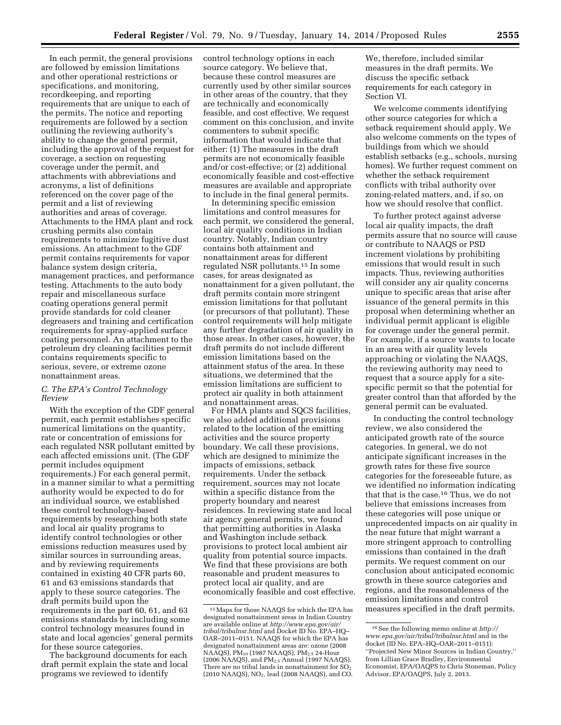In each permit, the general provisions are followed by emission limitations and other operational restrictions or specifications, and monitoring, recordkeeping, and reporting requirements that are unique to each of the permits. The notice and reporting requirements are followed by a section outlining the reviewing authority's ability to change the general permit, including the approval of the request for coverage, a section on requesting coverage under the permit, and attachments with abbreviations and acronyms, a list of definitions referenced on the cover page of the permit and a list of reviewing authorities and areas of coverage. Attachments to the HMA plant and rock crushing permits also contain requirements to minimize fugitive dust emissions. An attachment to the GDF permit contains requirements for vapor balance system design criteria, management practices, and performance testing. Attachments to the auto body repair and miscellaneous surface coating operations general permit provide standards for cold cleaner degreasers and training and certification requirements for spray-applied surface coating personnel. An attachment to the petroleum dry cleaning facilities permit contains requirements specific to serious, severe, or extreme ozone nonattainment areas.

# *C. The EPA's Control Technology Review*

With the exception of the GDF general permit, each permit establishes specific numerical limitations on the quantity, rate or concentration of emissions for each regulated NSR pollutant emitted by each affected emissions unit. (The GDF permit includes equipment requirements.) For each general permit, in a manner similar to what a permitting authority would be expected to do for an individual source, we established these control technology-based requirements by researching both state and local air quality programs to identify control technologies or other emissions reduction measures used by similar sources in surrounding areas, and by reviewing requirements contained in existing 40 CFR parts 60, 61 and 63 emissions standards that apply to these source categories. The draft permits build upon the requirements in the part 60, 61, and 63 emissions standards by including some control technology measures found in state and local agencies' general permits for these source categories.

The background documents for each draft permit explain the state and local programs we reviewed to identify

control technology options in each source category. We believe that, because these control measures are currently used by other similar sources in other areas of the country, that they are technically and economically feasible, and cost effective. We request comment on this conclusion, and invite commenters to submit specific information that would indicate that either: (1) The measures in the draft permits are not economically feasible and/or cost-effective; or (2) additional economically feasible and cost-effective measures are available and appropriate to include in the final general permits.

In determining specific emission limitations and control measures for each permit, we considered the general, local air quality conditions in Indian country. Notably, Indian country contains both attainment and nonattainment areas for different regulated NSR pollutants.15 In some cases, for areas designated as nonattainment for a given pollutant, the draft permits contain more stringent emission limitations for that pollutant (or precursors of that pollutant). These control requirements will help mitigate any further degradation of air quality in those areas. In other cases, however, the draft permits do not include different emission limitations based on the attainment status of the area. In these situations, we determined that the emission limitations are sufficient to protect air quality in both attainment and nonattainment areas.

For HMA plants and SQCS facilities, we also added additional provisions related to the location of the emitting activities and the source property boundary. We call these provisions, which are designed to minimize the impacts of emissions, setback requirements. Under the setback requirement, sources may not locate within a specific distance from the property boundary and nearest residences. In reviewing state and local air agency general permits, we found that permitting authorities in Alaska and Washington include setback provisions to protect local ambient air quality from potential source impacts. We find that these provisions are both reasonable and prudent measures to protect local air quality, and are economically feasible and cost effective.

We, therefore, included similar measures in the draft permits. We discuss the specific setback requirements for each category in Section VI.

We welcome comments identifying other source categories for which a setback requirement should apply. We also welcome comments on the types of buildings from which we should establish setbacks (e.g., schools, nursing homes). We further request comment on whether the setback requirement conflicts with tribal authority over zoning-related matters, and, if so, on how we should resolve that conflict.

To further protect against adverse local air quality impacts, the draft permits assure that no source will cause or contribute to NAAQS or PSD increment violations by prohibiting emissions that would result in such impacts. Thus, reviewing authorities will consider any air quality concerns unique to specific areas that arise after issuance of the general permits in this proposal when determining whether an individual permit applicant is eligible for coverage under the general permit. For example, if a source wants to locate in an area with air quality levels approaching or violating the NAAQS, the reviewing authority may need to request that a source apply for a sitespecific permit so that the potential for greater control than that afforded by the general permit can be evaluated.

In conducting the control technology review, we also considered the anticipated growth rate of the source categories. In general, we do not anticipate significant increases in the growth rates for these five source categories for the foreseeable future, as we identified no information indicating that that is the case.16 Thus, we do not believe that emissions increases from these categories will pose unique or unprecedented impacts on air quality in the near future that might warrant a more stringent approach to controlling emissions than contained in the draft permits. We request comment on our conclusion about anticipated economic growth in these source categories and regions, and the reasonableness of the emission limitations and control measures specified in the draft permits.

 $^{\rm 15}\rm{Maps}$  for those NAAQS for which the EPA has designated nonattainment areas in Indian Country are available online at *[http://www.epa.gov/air/](http://www.epa.gov/air/tribal/tribalnsr.html) [tribal/tribalnsr.html](http://www.epa.gov/air/tribal/tribalnsr.html)* and Docket ID No. EPA–HQ– OAR–2011–0151. NAAQS for which the EPA has designated nonattainment areas are: ozone (2008 NAAQS),  $PM_{10}$  (1987 NAAQS),  $PM_{2.5}$  24-Hour (2006 NAAQS), and PM2.5 Annual (1997 NAAQS). There are no tribal lands in nonattainment for  $SO<sub>2</sub>$ (2010 NAAQS), NO<sub>2</sub>, lead (2008 NAAQS), and CO.

<sup>16</sup>See the following memo online at *[http://](http://www.epa.gov/air/tribal/tribalnsr.html) [www.epa.gov/air/tribal/tribalnsr.html](http://www.epa.gov/air/tribal/tribalnsr.html)* and in the docket (ID No. EPA–HQ–OAR–2011–0151): ''Projected New Minor Sources in Indian Country,'' from Lillian Grace Bradley, Environmental Economist, EPA/OAQPS to Chris Stoneman, Policy Advisor, EPA/OAQPS, July 2, 2013.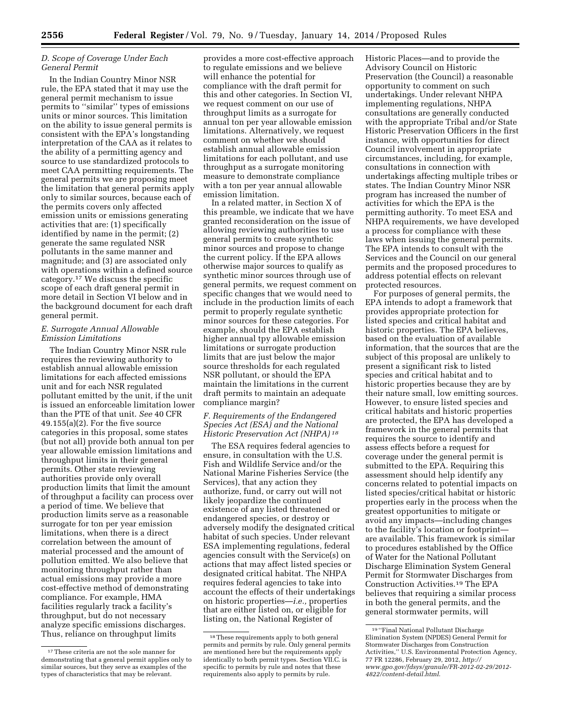# *D. Scope of Coverage Under Each General Permit*

In the Indian Country Minor NSR rule, the EPA stated that it may use the general permit mechanism to issue permits to ''similar'' types of emissions units or minor sources. This limitation on the ability to issue general permits is consistent with the EPA's longstanding interpretation of the CAA as it relates to the ability of a permitting agency and source to use standardized protocols to meet CAA permitting requirements. The general permits we are proposing meet the limitation that general permits apply only to similar sources, because each of the permits covers only affected emission units or emissions generating activities that are: (1) specifically identified by name in the permit; (2) generate the same regulated NSR pollutants in the same manner and magnitude; and (3) are associated only with operations within a defined source category.17 We discuss the specific scope of each draft general permit in more detail in Section VI below and in the background document for each draft general permit.

# *E. Surrogate Annual Allowable Emission Limitations*

The Indian Country Minor NSR rule requires the reviewing authority to establish annual allowable emission limitations for each affected emissions unit and for each NSR regulated pollutant emitted by the unit, if the unit is issued an enforceable limitation lower than the PTE of that unit. *See* 40 CFR 49.155(a)(2). For the five source categories in this proposal, some states (but not all) provide both annual ton per year allowable emission limitations and throughput limits in their general permits. Other state reviewing authorities provide only overall production limits that limit the amount of throughput a facility can process over a period of time. We believe that production limits serve as a reasonable surrogate for ton per year emission limitations, when there is a direct correlation between the amount of material processed and the amount of pollution emitted. We also believe that monitoring throughput rather than actual emissions may provide a more cost-effective method of demonstrating compliance. For example, HMA facilities regularly track a facility's throughput, but do not necessary analyze specific emissions discharges. Thus, reliance on throughput limits

provides a more cost-effective approach to regulate emissions and we believe will enhance the potential for compliance with the draft permit for this and other categories. In Section VI, we request comment on our use of throughput limits as a surrogate for annual ton per year allowable emission limitations. Alternatively, we request comment on whether we should establish annual allowable emission limitations for each pollutant, and use throughput as a surrogate monitoring measure to demonstrate compliance with a ton per year annual allowable emission limitation.

In a related matter, in Section X of this preamble, we indicate that we have granted reconsideration on the issue of allowing reviewing authorities to use general permits to create synthetic minor sources and propose to change the current policy. If the EPA allows otherwise major sources to qualify as synthetic minor sources through use of general permits, we request comment on specific changes that we would need to include in the production limits of each permit to properly regulate synthetic minor sources for these categories. For example, should the EPA establish higher annual tpy allowable emission limitations or surrogate production limits that are just below the major source thresholds for each regulated NSR pollutant, or should the EPA maintain the limitations in the current draft permits to maintain an adequate compliance margin?

# *F. Requirements of the Endangered Species Act (ESA) and the National Historic Preservation Act (NHPA) 18*

The ESA requires federal agencies to ensure, in consultation with the U.S. Fish and Wildlife Service and/or the National Marine Fisheries Service (the Services), that any action they authorize, fund, or carry out will not likely jeopardize the continued existence of any listed threatened or endangered species, or destroy or adversely modify the designated critical habitat of such species. Under relevant ESA implementing regulations, federal agencies consult with the Service(s) on actions that may affect listed species or designated critical habitat. The NHPA requires federal agencies to take into account the effects of their undertakings on historic properties—*i.e.,* properties that are either listed on, or eligible for listing on, the National Register of

Historic Places—and to provide the Advisory Council on Historic Preservation (the Council) a reasonable opportunity to comment on such undertakings. Under relevant NHPA implementing regulations, NHPA consultations are generally conducted with the appropriate Tribal and/or State Historic Preservation Officers in the first instance, with opportunities for direct Council involvement in appropriate circumstances, including, for example, consultations in connection with undertakings affecting multiple tribes or states. The Indian Country Minor NSR program has increased the number of activities for which the EPA is the permitting authority. To meet ESA and NHPA requirements, we have developed a process for compliance with these laws when issuing the general permits. The EPA intends to consult with the Services and the Council on our general permits and the proposed procedures to address potential effects on relevant protected resources.

For purposes of general permits, the EPA intends to adopt a framework that provides appropriate protection for listed species and critical habitat and historic properties. The EPA believes, based on the evaluation of available information, that the sources that are the subject of this proposal are unlikely to present a significant risk to listed species and critical habitat and to historic properties because they are by their nature small, low emitting sources. However, to ensure listed species and critical habitats and historic properties are protected, the EPA has developed a framework in the general permits that requires the source to identify and assess effects before a request for coverage under the general permit is submitted to the EPA. Requiring this assessment should help identify any concerns related to potential impacts on listed species/critical habitat or historic properties early in the process when the greatest opportunities to mitigate or avoid any impacts—including changes to the facility's location or footprint are available. This framework is similar to procedures established by the Office of Water for the National Pollutant Discharge Elimination System General Permit for Stormwater Discharges from Construction Activities.19 The EPA believes that requiring a similar process in both the general permits, and the general stormwater permits, will

<sup>17</sup>These criteria are not the sole manner for demonstrating that a general permit applies only to similar sources, but they serve as examples of the types of characteristics that may be relevant.

<sup>18</sup>These requirements apply to both general permits and permits by rule. Only general permits are mentioned here but the requirements apply identically to both permit types. Section VII.C. is specific to permits by rule and notes that these requirements also apply to permits by rule.

<sup>19</sup> ''Final National Pollutant Discharge Elimination System (NPDES) General Permit for Stormwater Discharges from Construction Activities,'' U.S. Environmental Protection Agency, 77 FR 12286, February 29, 2012, *[http://](http://www.gpo.gov/fdsys/granule/FR-2012-02-29/2012-4822/content-detail.html) [www.gpo.gov/fdsys/granule/FR-2012-02-29/2012-](http://www.gpo.gov/fdsys/granule/FR-2012-02-29/2012-4822/content-detail.html) [4822/content-detail.html](http://www.gpo.gov/fdsys/granule/FR-2012-02-29/2012-4822/content-detail.html)*.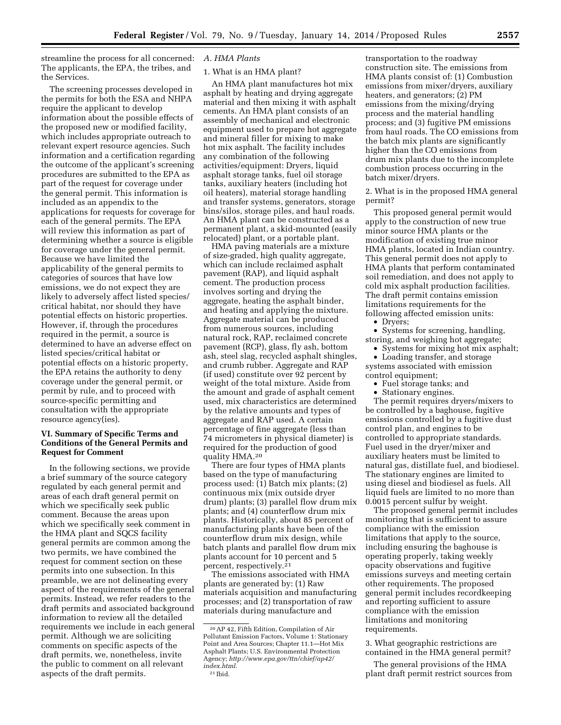streamline the process for all concerned: The applicants, the EPA, the tribes, and the Services.

The screening processes developed in the permits for both the ESA and NHPA require the applicant to develop information about the possible effects of the proposed new or modified facility, which includes appropriate outreach to relevant expert resource agencies. Such information and a certification regarding the outcome of the applicant's screening procedures are submitted to the EPA as part of the request for coverage under the general permit. This information is included as an appendix to the applications for requests for coverage for each of the general permits. The EPA will review this information as part of determining whether a source is eligible for coverage under the general permit. Because we have limited the applicability of the general permits to categories of sources that have low emissions, we do not expect they are likely to adversely affect listed species/ critical habitat, nor should they have potential effects on historic properties. However, if, through the procedures required in the permit, a source is determined to have an adverse effect on listed species/critical habitat or potential effects on a historic property, the EPA retains the authority to deny coverage under the general permit, or permit by rule, and to proceed with source-specific permitting and consultation with the appropriate resource agency(ies).

# **VI. Summary of Specific Terms and Conditions of the General Permits and Request for Comment**

In the following sections, we provide a brief summary of the source category regulated by each general permit and areas of each draft general permit on which we specifically seek public comment. Because the areas upon which we specifically seek comment in the HMA plant and SQCS facility general permits are common among the two permits, we have combined the request for comment section on these permits into one subsection. In this preamble, we are not delineating every aspect of the requirements of the general permits. Instead, we refer readers to the draft permits and associated background information to review all the detailed requirements we include in each general permit. Although we are soliciting comments on specific aspects of the draft permits, we, nonetheless, invite the public to comment on all relevant aspects of the draft permits.

# *A. HMA Plants*

# 1. What is an HMA plant?

An HMA plant manufactures hot mix asphalt by heating and drying aggregate material and then mixing it with asphalt cements. An HMA plant consists of an assembly of mechanical and electronic equipment used to prepare hot aggregate and mineral filler for mixing to make hot mix asphalt. The facility includes any combination of the following activities/equipment: Dryers, liquid asphalt storage tanks, fuel oil storage tanks, auxiliary heaters (including hot oil heaters), material storage handling and transfer systems, generators, storage bins/silos, storage piles, and haul roads. An HMA plant can be constructed as a permanent plant, a skid-mounted (easily relocated) plant, or a portable plant.

HMA paving materials are a mixture of size-graded, high quality aggregate, which can include reclaimed asphalt pavement (RAP), and liquid asphalt cement. The production process involves sorting and drying the aggregate, heating the asphalt binder, and heating and applying the mixture. Aggregate material can be produced from numerous sources, including natural rock, RAP, reclaimed concrete pavement (RCP), glass, fly ash, bottom ash, steel slag, recycled asphalt shingles, and crumb rubber. Aggregate and RAP (if used) constitute over 92 percent by weight of the total mixture. Aside from the amount and grade of asphalt cement used, mix characteristics are determined by the relative amounts and types of aggregate and RAP used. A certain percentage of fine aggregate (less than 74 micrometers in physical diameter) is required for the production of good quality HMA.20

There are four types of HMA plants based on the type of manufacturing process used: (1) Batch mix plants; (2) continuous mix (mix outside dryer drum) plants; (3) parallel flow drum mix plants; and (4) counterflow drum mix plants. Historically, about 85 percent of manufacturing plants have been of the counterflow drum mix design, while batch plants and parallel flow drum mix plants account for 10 percent and 5 percent, respectively.21

The emissions associated with HMA plants are generated by: (1) Raw materials acquisition and manufacturing processes; and (2) transportation of raw materials during manufacture and

transportation to the roadway construction site. The emissions from HMA plants consist of: (1) Combustion emissions from mixer/dryers, auxiliary heaters, and generators; (2) PM emissions from the mixing/drying process and the material handling process; and (3) fugitive PM emissions from haul roads. The CO emissions from the batch mix plants are significantly higher than the CO emissions from drum mix plants due to the incomplete combustion process occurring in the batch mixer/dryers.

2. What is in the proposed HMA general permit?

This proposed general permit would apply to the construction of new true minor source HMA plants or the modification of existing true minor HMA plants, located in Indian country. This general permit does not apply to HMA plants that perform contaminated soil remediation, and does not apply to cold mix asphalt production facilities. The draft permit contains emission limitations requirements for the following affected emission units:

• Dryers:

• Systems for screening, handling, storing, and weighing hot aggregate;

• Systems for mixing hot mix asphalt; • Loading transfer, and storage systems associated with emission

control equipment;

- Fuel storage tanks; and
- Stationary engines.

The permit requires dryers/mixers to be controlled by a baghouse, fugitive emissions controlled by a fugitive dust control plan, and engines to be controlled to appropriate standards. Fuel used in the dryer/mixer and auxiliary heaters must be limited to natural gas, distillate fuel, and biodiesel. The stationary engines are limited to using diesel and biodiesel as fuels. All liquid fuels are limited to no more than 0.0015 percent sulfur by weight.

The proposed general permit includes monitoring that is sufficient to assure compliance with the emission limitations that apply to the source, including ensuring the baghouse is operating properly, taking weekly opacity observations and fugitive emissions surveys and meeting certain other requirements. The proposed general permit includes recordkeeping and reporting sufficient to assure compliance with the emission limitations and monitoring requirements.

3. What geographic restrictions are contained in the HMA general permit?

The general provisions of the HMA plant draft permit restrict sources from

<sup>20</sup>AP 42, Fifth Edition, Compilation of Air Pollutant Emission Factors, Volume 1: Stationary Point and Area Sources; Chapter 11.1—Hot Mix Asphalt Plants; U.S. Environmental Protection Agency; *[http://www.epa.gov/ttn/chief/ap42/](http://www.epa.gov/ttn/chief/ap42/index.html) [index.html](http://www.epa.gov/ttn/chief/ap42/index.html)*. 21 Ibid.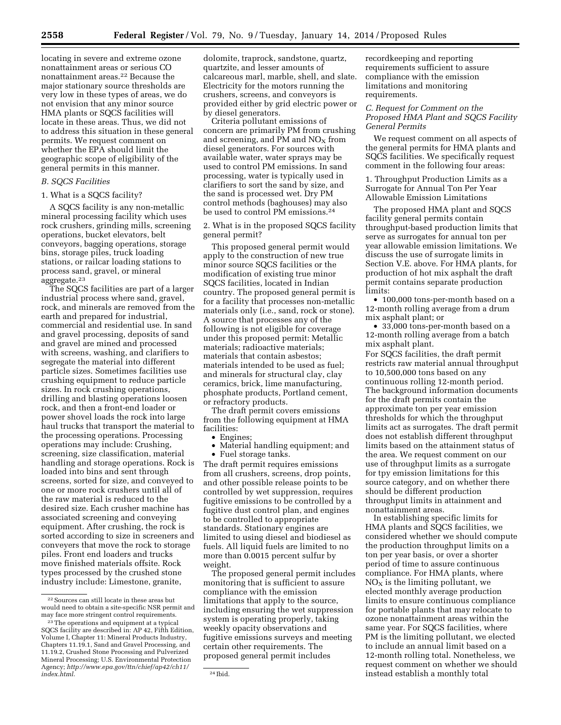locating in severe and extreme ozone nonattainment areas or serious CO nonattainment areas.22 Because the major stationary source thresholds are very low in these types of areas, we do not envision that any minor source HMA plants or SQCS facilities will locate in these areas. Thus, we did not to address this situation in these general permits. We request comment on whether the EPA should limit the geographic scope of eligibility of the general permits in this manner.

# *B. SQCS Facilities*

# 1. What is a SQCS facility?

A SQCS facility is any non-metallic mineral processing facility which uses rock crushers, grinding mills, screening operations, bucket elevators, belt conveyors, bagging operations, storage bins, storage piles, truck loading stations, or railcar loading stations to process sand, gravel, or mineral aggregate.23

The SQCS facilities are part of a larger industrial process where sand, gravel, rock, and minerals are removed from the earth and prepared for industrial, commercial and residential use. In sand and gravel processing, deposits of sand and gravel are mined and processed with screens, washing, and clarifiers to segregate the material into different particle sizes. Sometimes facilities use crushing equipment to reduce particle sizes. In rock crushing operations, drilling and blasting operations loosen rock, and then a front-end loader or power shovel loads the rock into large haul trucks that transport the material to the processing operations. Processing operations may include: Crushing, screening, size classification, material handling and storage operations. Rock is loaded into bins and sent through screens, sorted for size, and conveyed to one or more rock crushers until all of the raw material is reduced to the desired size. Each crusher machine has associated screening and conveying equipment. After crushing, the rock is sorted according to size in screeners and conveyers that move the rock to storage piles. Front end loaders and trucks move finished materials offsite. Rock types processed by the crushed stone industry include: Limestone, granite,

dolomite, traprock, sandstone, quartz, quartzite, and lesser amounts of calcareous marl, marble, shell, and slate. Electricity for the motors running the crushers, screens, and conveyors is provided either by grid electric power or by diesel generators.

Criteria pollutant emissions of concern are primarily PM from crushing and screening, and PM and  $NO<sub>x</sub>$  from diesel generators. For sources with available water, water sprays may be used to control PM emissions. In sand processing, water is typically used in clarifiers to sort the sand by size, and the sand is processed wet. Dry PM control methods (baghouses) may also be used to control PM emissions.24

2. What is in the proposed SQCS facility general permit?

This proposed general permit would apply to the construction of new true minor source SQCS facilities or the modification of existing true minor SQCS facilities, located in Indian country. The proposed general permit is for a facility that processes non-metallic materials only (i.e., sand, rock or stone). A source that processes any of the following is not eligible for coverage under this proposed permit: Metallic materials; radioactive materials; materials that contain asbestos; materials intended to be used as fuel; and minerals for structural clay, clay ceramics, brick, lime manufacturing, phosphate products, Portland cement, or refractory products.

The draft permit covers emissions from the following equipment at HMA facilities:

• Engines;

• Material handling equipment; and • Fuel storage tanks.

The draft permit requires emissions from all crushers, screens, drop points, and other possible release points to be controlled by wet suppression, requires fugitive emissions to be controlled by a fugitive dust control plan, and engines to be controlled to appropriate standards. Stationary engines are limited to using diesel and biodiesel as fuels. All liquid fuels are limited to no more than 0.0015 percent sulfur by weight.

The proposed general permit includes monitoring that is sufficient to assure compliance with the emission limitations that apply to the source, including ensuring the wet suppression system is operating properly, taking weekly opacity observations and fugitive emissions surveys and meeting certain other requirements. The proposed general permit includes

recordkeeping and reporting requirements sufficient to assure compliance with the emission limitations and monitoring requirements.

# *C. Request for Comment on the Proposed HMA Plant and SQCS Facility General Permits*

We request comment on all aspects of the general permits for HMA plants and SQCS facilities. We specifically request comment in the following four areas:

1. Throughput Production Limits as a Surrogate for Annual Ton Per Year Allowable Emission Limitations

The proposed HMA plant and SQCS facility general permits contain throughput-based production limits that serve as surrogates for annual ton per year allowable emission limitations. We discuss the use of surrogate limits in Section V.E. above. For HMA plants, for production of hot mix asphalt the draft permit contains separate production limits:

• 100,000 tons-per-month based on a 12-month rolling average from a drum mix asphalt plant; or

• 33,000 tons-per-month based on a 12-month rolling average from a batch mix asphalt plant.

For SQCS facilities, the draft permit restricts raw material annual throughput to 10,500,000 tons based on any continuous rolling 12-month period. The background information documents for the draft permits contain the approximate ton per year emission thresholds for which the throughput limits act as surrogates. The draft permit does not establish different throughput limits based on the attainment status of the area. We request comment on our use of throughput limits as a surrogate for tpy emission limitations for this source category, and on whether there should be different production throughput limits in attainment and nonattainment areas.

In establishing specific limits for HMA plants and SQCS facilities, we considered whether we should compute the production throughput limits on a ton per year basis, or over a shorter period of time to assure continuous compliance. For HMA plants, where  $NO<sub>x</sub>$  is the limiting pollutant, we elected monthly average production limits to ensure continuous compliance for portable plants that may relocate to ozone nonattainment areas within the same year. For SQCS facilities, where PM is the limiting pollutant, we elected to include an annual limit based on a 12-month rolling total. Nonetheless, we request comment on whether we should instead establish a monthly total

<sup>22</sup>Sources can still locate in these areas but would need to obtain a site-specific NSR permit and may face more stringent control requirements.

<sup>23</sup>The operations and equipment at a typical SQCS facility are described in: AP 42, Fifth Edition, Volume I, Chapter 11: Mineral Products Industry, Chapters 11.19.1, Sand and Gravel Processing, and 11.19.2, Crushed Stone Processing and Pulverized Mineral Processing; U.S. Environmental Protection Agency; *[http://www.epa.gov/ttn/chief/ap42/ch11/](http://www.epa.gov/ttn/chief/ap42/ch11/index.html) [index.html](http://www.epa.gov/ttn/chief/ap42/ch11/index.html).* 24 Ibid.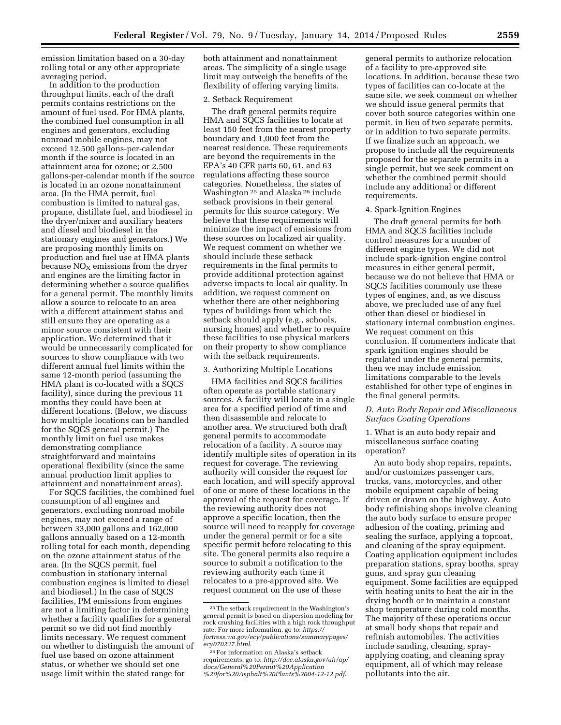emission limitation based on a 30-day rolling total or any other appropriate averaging period.

In addition to the production throughput limits, each of the draft permits contains restrictions on the amount of fuel used. For HMA plants, the combined fuel consumption in all engines and generators, excluding nonroad mobile engines, may not exceed 12,500 gallons-per-calendar month if the source is located in an attainment area for ozone; or 2,500 gallons-per-calendar month if the source is located in an ozone nonattainment area. (In the HMA permit, fuel combustion is limited to natural gas, propane, distillate fuel, and biodiesel in the dryer/mixer and auxiliary heaters and diesel and biodiesel in the stationary engines and generators.) We are proposing monthly limits on production and fuel use at HMA plants because  $NO<sub>x</sub>$  emissions from the dryer and engines are the limiting factor in determining whether a source qualifies for a general permit. The monthly limits allow a source to relocate to an area with a different attainment status and still ensure they are operating as a minor source consistent with their application. We determined that it would be unnecessarily complicated for sources to show compliance with two different annual fuel limits within the same 12-month period (assuming the HMA plant is co-located with a SQCS facility), since during the previous 11 months they could have been at different locations. (Below, we discuss how multiple locations can be handled for the SQCS general permit.) The monthly limit on fuel use makes demonstrating compliance straightforward and maintains operational flexibility (since the same annual production limit applies to attainment and nonattainment areas).

For SQCS facilities, the combined fuel consumption of all engines and generators, excluding nonroad mobile engines, may not exceed a range of between 33,000 gallons and 162,000 gallons annually based on a 12-month rolling total for each month, depending on the ozone attainment status of the area. (In the SQCS permit, fuel combustion in stationary internal combustion engines is limited to diesel and biodiesel.) In the case of SQCS facilities, PM emissions from engines are not a limiting factor in determining whether a facility qualifies for a general permit so we did not find monthly limits necessary. We request comment on whether to distinguish the amount of fuel use based on ozone attainment status, or whether we should set one usage limit within the stated range for

both attainment and nonattainment areas. The simplicity of a single usage limit may outweigh the benefits of the flexibility of offering varying limits.

#### 2. Setback Requirement

The draft general permits require HMA and SQCS facilities to locate at least 150 feet from the nearest property boundary and 1,000 feet from the nearest residence. These requirements are beyond the requirements in the EPA's 40 CFR parts 60, 61, and 63 regulations affecting these source categories. Nonetheless, the states of Washington 25 and Alaska 26 include setback provisions in their general permits for this source category. We believe that these requirements will minimize the impact of emissions from these sources on localized air quality. We request comment on whether we should include these setback requirements in the final permits to provide additional protection against adverse impacts to local air quality. In addition, we request comment on whether there are other neighboring types of buildings from which the setback should apply (e.g., schools, nursing homes) and whether to require these facilities to use physical markers on their property to show compliance with the setback requirements.

#### 3. Authorizing Multiple Locations

HMA facilities and SQCS facilities often operate as portable stationary sources. A facility will locate in a single area for a specified period of time and then disassemble and relocate to another area. We structured both draft general permits to accommodate relocation of a facility. A source may identify multiple sites of operation in its request for coverage. The reviewing authority will consider the request for each location, and will specify approval of one or more of these locations in the approval of the request for coverage. If the reviewing authority does not approve a specific location, then the source will need to reapply for coverage under the general permit or for a site specific permit before relocating to this site. The general permits also require a source to submit a notification to the reviewing authority each time it relocates to a pre-approved site. We request comment on the use of these

general permits to authorize relocation of a facility to pre-approved site locations. In addition, because these two types of facilities can co-locate at the same site, we seek comment on whether we should issue general permits that cover both source categories within one permit, in lieu of two separate permits, or in addition to two separate permits. If we finalize such an approach, we propose to include all the requirements proposed for the separate permits in a single permit, but we seek comment on whether the combined permit should include any additional or different requirements.

## 4. Spark-Ignition Engines

The draft general permits for both HMA and SQCS facilities include control measures for a number of different engine types. We did not include spark-ignition engine control measures in either general permit, because we do not believe that HMA or SQCS facilities commonly use these types of engines, and, as we discuss above, we precluded use of any fuel other than diesel or biodiesel in stationary internal combustion engines. We request comment on this conclusion. If commenters indicate that spark ignition engines should be regulated under the general permits, then we may include emission limitations comparable to the levels established for other type of engines in the final general permits.

#### *D. Auto Body Repair and Miscellaneous Surface Coating Operations*

1. What is an auto body repair and miscellaneous surface coating operation?

An auto body shop repairs, repaints, and/or customizes passenger cars, trucks, vans, motorcycles, and other mobile equipment capable of being driven or drawn on the highway. Auto body refinishing shops involve cleaning the auto body surface to ensure proper adhesion of the coating, priming and sealing the surface, applying a topcoat, and cleaning of the spray equipment. Coating application equipment includes preparation stations, spray booths, spray guns, and spray gun cleaning equipment. Some facilities are equipped with heating units to heat the air in the drying booth or to maintain a constant shop temperature during cold months. The majority of these operations occur at small body shops that repair and refinish automobiles. The activities include sanding, cleaning, sprayapplying coating, and cleaning spray equipment, all of which may release pollutants into the air.

<sup>25</sup>The setback requirement in the Washington's general permit is based on dispersion modeling for rock crushing facilities with a high rock throughput rate. For more information, go to: *[https://](https://fortress.wa.gov/ecy/publications/summarypages/ecy070237.html) [fortress.wa.gov/ecy/publications/summarypages/](https://fortress.wa.gov/ecy/publications/summarypages/ecy070237.html) [ecy070237.html](https://fortress.wa.gov/ecy/publications/summarypages/ecy070237.html)*.

<sup>26</sup>For information on Alaska's setback requirements, go to: *[http://dec.alaska.gov/air/ap/](http://dec.alaska.gov/air/ap/docs/General%20Permit%20Application%20for%20Asphalt%20Plants%2004-12-12.pdf) [docs/General%20Permit%20Application](http://dec.alaska.gov/air/ap/docs/General%20Permit%20Application%20for%20Asphalt%20Plants%2004-12-12.pdf) [%20for%20Asphalt%20Plants%2004-12-12.pdf](http://dec.alaska.gov/air/ap/docs/General%20Permit%20Application%20for%20Asphalt%20Plants%2004-12-12.pdf)*.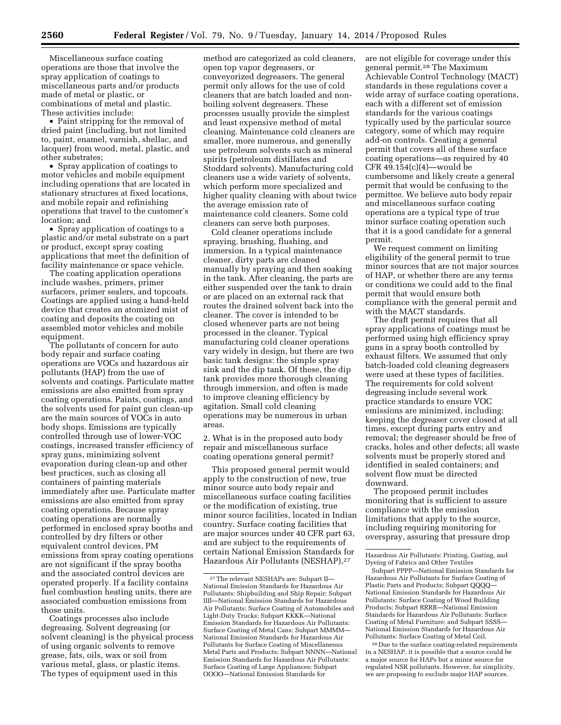Miscellaneous surface coating operations are those that involve the spray application of coatings to miscellaneous parts and/or products made of metal or plastic, or combinations of metal and plastic. These activities include:

• Paint stripping for the removal of dried paint (including, but not limited to, paint, enamel, varnish, shellac, and lacquer) from wood, metal, plastic, and other substrates;

• Spray application of coatings to motor vehicles and mobile equipment including operations that are located in stationary structures at fixed locations, and mobile repair and refinishing operations that travel to the customer's location; and

• Spray application of coatings to a plastic and/or metal substrate on a part or product, except spray coating applications that meet the definition of facility maintenance or space vehicle.

The coating application operations include washes, primers, primer surfacers, primer sealers, and topcoats. Coatings are applied using a hand-held device that creates an atomized mist of coating and deposits the coating on assembled motor vehicles and mobile equipment.

The pollutants of concern for auto body repair and surface coating operations are VOCs and hazardous air pollutants (HAP) from the use of solvents and coatings. Particulate matter emissions are also emitted from spray coating operations. Paints, coatings, and the solvents used for paint gun clean-up are the main sources of VOCs in auto body shops. Emissions are typically controlled through use of lower-VOC coatings, increased transfer efficiency of spray guns, minimizing solvent evaporation during clean-up and other best practices, such as closing all containers of painting materials immediately after use. Particulate matter emissions are also emitted from spray coating operations. Because spray coating operations are normally performed in enclosed spray booths and controlled by dry filters or other equivalent control devices, PM emissions from spray coating operations are not significant if the spray booths and the associated control devices are operated properly. If a facility contains fuel combustion heating units, there are associated combustion emissions from those units.

Coatings processes also include degreasing. Solvent degreasing (or solvent cleaning) is the physical process of using organic solvents to remove grease, fats, oils, wax or soil from various metal, glass, or plastic items. The types of equipment used in this

method are categorized as cold cleaners, open top vapor degreasers, or conveyorized degreasers. The general permit only allows for the use of cold cleaners that are batch loaded and nonboiling solvent degreasers. These processes usually provide the simplest and least expensive method of metal cleaning. Maintenance cold cleaners are smaller, more numerous, and generally use petroleum solvents such as mineral spirits (petroleum distillates and Stoddard solvents). Manufacturing cold cleaners use a wide variety of solvents, which perform more specialized and higher quality cleaning with about twice the average emission rate of maintenance cold cleaners. Some cold cleaners can serve both purposes.

Cold cleaner operations include spraying, brushing, flushing, and immersion. In a typical maintenance cleaner, dirty parts are cleaned manually by spraying and then soaking in the tank. After cleaning, the parts are either suspended over the tank to drain or are placed on an external rack that routes the drained solvent back into the cleaner. The cover is intended to be closed whenever parts are not being processed in the cleaner. Typical manufacturing cold cleaner operations vary widely in design, but there are two basic tank designs: the simple spray sink and the dip tank. Of these, the dip tank provides more thorough cleaning through immersion, and often is made to improve cleaning efficiency by agitation. Small cold cleaning operations may be numerous in urban areas.

2. What is in the proposed auto body repair and miscellaneous surface coating operations general permit?

This proposed general permit would apply to the construction of new, true minor source auto body repair and miscellaneous surface coating facilities or the modification of existing, true minor source facilities, located in Indian country. Surface coating facilities that are major sources under 40 CFR part 63, and are subject to the requirements of certain National Emission Standards for Hazardous Air Pollutants (NESHAP),27

are not eligible for coverage under this general permit.28 The Maximum Achievable Control Technology (MACT) standards in these regulations cover a wide array of surface coating operations, each with a different set of emission standards for the various coatings typically used by the particular source category, some of which may require add-on controls. Creating a general permit that covers all of these surface coating operations—as required by 40 CFR  $49.154(c)(4)$ —would be cumbersome and likely create a general permit that would be confusing to the permittee. We believe auto body repair and miscellaneous surface coating operations are a typical type of true minor surface coating operation such that it is a good candidate for a general permit.

We request comment on limiting eligibility of the general permit to true minor sources that are not major sources of HAP, or whether there are any terms or conditions we could add to the final permit that would ensure both compliance with the general permit and with the MACT standards.

The draft permit requires that all spray applications of coatings must be performed using high efficiency spray guns in a spray booth controlled by exhaust filters. We assumed that only batch-loaded cold cleaning degreasers were used at these types of facilities. The requirements for cold solvent degreasing include several work practice standards to ensure VOC emissions are minimized, including: keeping the degreaser cover closed at all times, except during parts entry and removal; the degreaser should be free of cracks, holes and other defects; all waste solvents must be properly stored and identified in sealed containers; and solvent flow must be directed downward.

The proposed permit includes monitoring that is sufficient to assure compliance with the emission limitations that apply to the source, including requiring monitoring for overspray, assuring that pressure drop

<sup>27</sup>The relevant NESHAPs are: Subpart II— National Emission Standards for Hazardous Air Pollutants: Shipbuilding and Ship Repair; Subpart IIII—National Emission Standards for Hazardous Air Pollutants: Surface Coating of Automobiles and Light-Duty Trucks; Subpart KKKK—National Emission Standards for Hazardous Air Pollutants: Surface Coating of Metal Cans; Subpart MMMM— National Emission Standards for Hazardous Air Pollutants for Surface Coating of Miscellaneous Metal Parts and Products; Subpart NNNN—National Emission Standards for Hazardous Air Pollutants: Surface Coating of Large Appliances; Subpart OOOO—National Emission Standards for

Hazardous Air Pollutants: Printing, Coating, and Dyeing of Fabrics and Other Textiles

Subpart PPPP—National Emission Standards for Hazardous Air Pollutants for Surface Coating of Plastic Parts and Products; Subpart QQQQ— National Emission Standards for Hazardous Air Pollutants: Surface Coating of Wood Building Products; Subpart RRRR—National Emission Standards for Hazardous Air Pollutants: Surface Coating of Metal Furniture; and Subpart SSSS— National Emission Standards for Hazardous Air Pollutants: Surface Coating of Metal Coil.

<sup>28</sup> Due to the surface coating-related requirements in a NESHAP, it is possible that a source could be a major source for HAPs but a minor source for regulated NSR pollutants. However, for simplicity, we are proposing to exclude major HAP sources.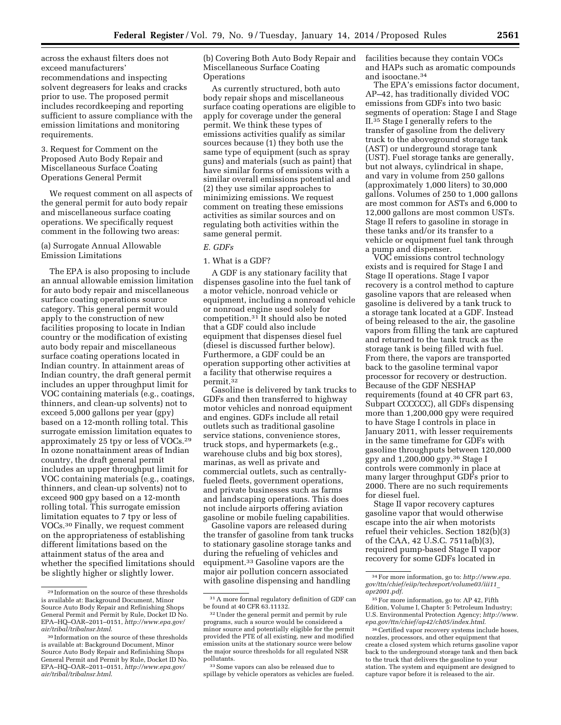across the exhaust filters does not exceed manufacturers' recommendations and inspecting solvent degreasers for leaks and cracks prior to use. The proposed permit includes recordkeeping and reporting sufficient to assure compliance with the emission limitations and monitoring requirements.

3. Request for Comment on the Proposed Auto Body Repair and Miscellaneous Surface Coating Operations General Permit

We request comment on all aspects of the general permit for auto body repair and miscellaneous surface coating operations. We specifically request comment in the following two areas:

(a) Surrogate Annual Allowable Emission Limitations

The EPA is also proposing to include an annual allowable emission limitation for auto body repair and miscellaneous surface coating operations source category. This general permit would apply to the construction of new facilities proposing to locate in Indian country or the modification of existing auto body repair and miscellaneous surface coating operations located in Indian country. In attainment areas of Indian country, the draft general permit includes an upper throughput limit for VOC containing materials (e.g., coatings, thinners, and clean-up solvents) not to exceed 5,000 gallons per year (gpy) based on a 12-month rolling total. This surrogate emission limitation equates to approximately 25 tpy or less of VOCs.29 In ozone nonattainment areas of Indian country, the draft general permit includes an upper throughput limit for VOC containing materials (e.g., coatings, thinners, and clean-up solvents) not to exceed 900 gpy based on a 12-month rolling total. This surrogate emission limitation equates to 7 tpy or less of VOCs.30 Finally, we request comment on the appropriateness of establishing different limitations based on the attainment status of the area and whether the specified limitations should be slightly higher or slightly lower.

(b) Covering Both Auto Body Repair and Miscellaneous Surface Coating **Operations** 

As currently structured, both auto body repair shops and miscellaneous surface coating operations are eligible to apply for coverage under the general permit. We think these types of emissions activities qualify as similar sources because (1) they both use the same type of equipment (such as spray guns) and materials (such as paint) that have similar forms of emissions with a similar overall emissions potential and (2) they use similar approaches to minimizing emissions. We request comment on treating these emissions activities as similar sources and on regulating both activities within the same general permit.

# *E. GDFs*

#### 1. What is a GDF?

A GDF is any stationary facility that dispenses gasoline into the fuel tank of a motor vehicle, nonroad vehicle or equipment, including a nonroad vehicle or nonroad engine used solely for competition.31 It should also be noted that a GDF could also include equipment that dispenses diesel fuel (diesel is discussed further below). Furthermore, a GDF could be an operation supporting other activities at a facility that otherwise requires a permit.<sup>32</sup>

Gasoline is delivered by tank trucks to GDFs and then transferred to highway motor vehicles and nonroad equipment and engines. GDFs include all retail outlets such as traditional gasoline service stations, convenience stores, truck stops, and hypermarkets (e.g., warehouse clubs and big box stores), marinas, as well as private and commercial outlets, such as centrallyfueled fleets, government operations, and private businesses such as farms and landscaping operations. This does not include airports offering aviation gasoline or mobile fueling capabilities.

Gasoline vapors are released during the transfer of gasoline from tank trucks to stationary gasoline storage tanks and during the refueling of vehicles and equipment.33 Gasoline vapors are the major air pollution concern associated with gasoline dispensing and handling

33Some vapors can also be released due to spillage by vehicle operators as vehicles are fueled. facilities because they contain VOCs and HAPs such as aromatic compounds and isooctane.34

The EPA's emissions factor document, AP–42, has traditionally divided VOC emissions from GDFs into two basic segments of operation: Stage I and Stage II.35 Stage I generally refers to the transfer of gasoline from the delivery truck to the aboveground storage tank (AST) or underground storage tank (UST). Fuel storage tanks are generally, but not always, cylindrical in shape, and vary in volume from 250 gallons (approximately 1,000 liters) to 30,000 gallons. Volumes of 250 to 1,000 gallons are most common for ASTs and 6,000 to 12,000 gallons are most common USTs. Stage II refers to gasoline in storage in these tanks and/or its transfer to a vehicle or equipment fuel tank through a pump and dispenser.

VOC emissions control technology exists and is required for Stage I and Stage II operations. Stage I vapor recovery is a control method to capture gasoline vapors that are released when gasoline is delivered by a tank truck to a storage tank located at a GDF. Instead of being released to the air, the gasoline vapors from filling the tank are captured and returned to the tank truck as the storage tank is being filled with fuel. From there, the vapors are transported back to the gasoline terminal vapor processor for recovery or destruction. Because of the GDF NESHAP requirements (found at 40 CFR part 63, Subpart CCCCCC), all GDFs dispensing more than 1,200,000 gpy were required to have Stage I controls in place in January 2011, with lesser requirements in the same timeframe for GDFs with gasoline throughputs between 120,000 gpy and 1,200,000 gpy.36 Stage I controls were commonly in place at many larger throughput GDFs prior to 2000. There are no such requirements for diesel fuel.

Stage II vapor recovery captures gasoline vapor that would otherwise escape into the air when motorists refuel their vehicles. Section 182(b)(3) of the CAA, 42 U.S.C. 7511a(b)(3), required pump-based Stage II vapor recovery for some GDFs located in

<sup>29</sup> Information on the source of these thresholds is available at: Background Document, Minor Source Auto Body Repair and Refinishing Shops General Permit and Permit by Rule, Docket ID No. EPA–HQ–OAR–2011–0151, *[http://www.epa.gov/](http://www.epa.gov/air/tribal/tribalnsr.html) [air/tribal/tribalnsr.html](http://www.epa.gov/air/tribal/tribalnsr.html)*.

<sup>30</sup> Information on the source of these thresholds is available at: Background Document, Minor Source Auto Body Repair and Refinishing Shops General Permit and Permit by Rule, Docket ID No. EPA–HQ–OAR–2011–0151, *[http://www.epa.gov/](http://www.epa.gov/air/tribal/tribalnsr.html) [air/tribal/tribalnsr.html](http://www.epa.gov/air/tribal/tribalnsr.html)*.

 $\ensuremath{^{31}\text{A}}$  more formal regulatory definition of GDF can be found at 40 CFR 63.11132.

<sup>32</sup>Under the general permit and permit by rule programs, such a source would be considered a minor source and potentially eligible for the permit provided the PTE of all existing, new and modified emission units at the stationary source were below the major source thresholds for all regulated NSR pollutants.

<sup>34</sup>For more information, go to: *[http://www.epa.](http://www.epa.gov/ttn/chief/eiip/techreport/volume03/iii11_apr2001.pdf) [gov/ttn/chief/eiip/techreport/volume03/iii11](http://www.epa.gov/ttn/chief/eiip/techreport/volume03/iii11_apr2001.pdf)*\_ *[apr2001.pdf](http://www.epa.gov/ttn/chief/eiip/techreport/volume03/iii11_apr2001.pdf)*.

<sup>35</sup>For more information, go to: AP 42, Fifth Edition, Volume I, Chapter 5: Petroleum Industry; U.S. Environmental Protection Agency; *[http://www.](http://www.epa.gov/ttn/chief/ap42/ch05/index.html) [epa.gov/ttn/chief/ap42/ch05/index.html](http://www.epa.gov/ttn/chief/ap42/ch05/index.html)*.

<sup>36</sup>Certified vapor recovery systems include hoses, nozzles, processors, and other equipment that create a closed system which returns gasoline vapor back to the underground storage tank and then back to the truck that delivers the gasoline to your station. The system and equipment are designed to capture vapor before it is released to the air.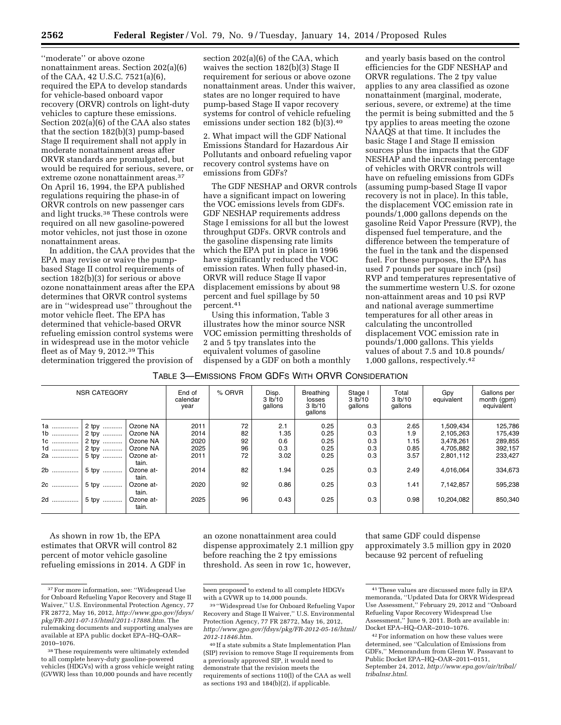''moderate'' or above ozone nonattainment areas. Section 202(a)(6) of the CAA, 42 U.S.C. 7521(a)(6), required the EPA to develop standards for vehicle-based onboard vapor recovery (ORVR) controls on light-duty vehicles to capture these emissions. Section 202(a)(6) of the CAA also states that the section 182(b)(3) pump-based Stage II requirement shall not apply in moderate nonattainment areas after ORVR standards are promulgated, but would be required for serious, severe, or extreme ozone nonattainment areas.37 On April 16, 1994, the EPA published regulations requiring the phase-in of ORVR controls on new passenger cars and light trucks.38 These controls were required on all new gasoline-powered motor vehicles, not just those in ozone nonattainment areas.

In addition, the CAA provides that the EPA may revise or waive the pumpbased Stage II control requirements of section 182(b)(3) for serious or above ozone nonattainment areas after the EPA determines that ORVR control systems are in ''widespread use'' throughout the motor vehicle fleet. The EPA has determined that vehicle-based ORVR refueling emission control systems were in widespread use in the motor vehicle fleet as of May 9, 2012.39 This determination triggered the provision of section 202(a)(6) of the CAA, which waives the section 182(b)(3) Stage II requirement for serious or above ozone nonattainment areas. Under this waiver, states are no longer required to have pump-based Stage II vapor recovery systems for control of vehicle refueling emissions under section 182 (b)(3).40

2. What impact will the GDF National Emissions Standard for Hazardous Air Pollutants and onboard refueling vapor recovery control systems have on emissions from GDFs?

The GDF NESHAP and ORVR controls have a significant impact on lowering the VOC emissions levels from GDFs. GDF NESHAP requirements address Stage I emissions for all but the lowest throughput GDFs. ORVR controls and the gasoline dispensing rate limits which the EPA put in place in 1996 have significantly reduced the VOC emission rates. When fully phased-in, ORVR will reduce Stage II vapor displacement emissions by about 98 percent and fuel spillage by 50 percent.41

Using this information, Table 3 illustrates how the minor source NSR VOC emission permitting thresholds of 2 and 5 tpy translates into the equivalent volumes of gasoline dispensed by a GDF on both a monthly

and yearly basis based on the control efficiencies for the GDF NESHAP and ORVR regulations. The 2 tpy value applies to any area classified as ozone nonattainment (marginal, moderate, serious, severe, or extreme) at the time the permit is being submitted and the 5 tpy applies to areas meeting the ozone NAAQS at that time. It includes the basic Stage I and Stage II emission sources plus the impacts that the GDF NESHAP and the increasing percentage of vehicles with ORVR controls will have on refueling emissions from GDFs (assuming pump-based Stage II vapor recovery is not in place). In this table, the displacement VOC emission rate in pounds/1,000 gallons depends on the gasoline Reid Vapor Pressure (RVP), the dispensed fuel temperature, and the difference between the temperature of the fuel in the tank and the dispensed fuel. For these purposes, the EPA has used 7 pounds per square inch (psi) RVP and temperatures representative of the summertime western U.S. for ozone non-attainment areas and 10 psi RVP and national average summertime temperatures for all other areas in calculating the uncontrolled displacement VOC emission rate in pounds/1,000 gallons. This yields values of about 7.5 and 10.8 pounds/ 1,000 gallons, respectively.42

# TABLE 3—EMISSIONS FROM GDFS WITH ORVR CONSIDERATION

| <b>NSR CATEGORY</b> |                | End of<br>calendar<br>year | % ORVR       | Disp.<br>3 lb/10<br>gallons | <b>Breathing</b><br>losses<br>3 lb/10<br>gallons | Stage I<br>3 lb/10<br>gallons | Total<br>3 lb/10<br>gallons | Gpy<br>equivalent | Gallons per<br>month (gpm)<br>equivalent |                    |
|---------------------|----------------|----------------------------|--------------|-----------------------------|--------------------------------------------------|-------------------------------|-----------------------------|-------------------|------------------------------------------|--------------------|
| 1a<br>$1b$          | 2 tpy<br>2 tpy | Ozone NA<br>Ozone NA       | 2011<br>2014 | 72<br>82                    | 2.1<br>1.35                                      | 0.25<br>0.25                  | 0.3<br>0.3                  | 2.65<br>1.9       | 1,509,434<br>2,105,263                   | 125,786<br>175,439 |
| 10                  | 2 tpy          | Ozone NA                   | 2020         | 92                          | 0.6                                              | 0.25                          | 0.3                         | 1.15              | 3,478,261                                | 289,855            |
| 1d                  | 2 tpy  '       | Ozone NA                   | 2025         | 96                          | 0.3                                              | 0.25                          | 0.3                         | 0.85              | 4.705.882                                | 392,157            |
|                     | 2a  5 tpy      | Ozone at-<br>tain.         | 2011         | 72                          | 3.02                                             | 0.25                          | 0.3                         | 3.57              | 2,801,112                                | 233,427            |
|                     |                | Ozone at-<br>tain.         | 2014         | 82                          | 1.94                                             | 0.25                          | 0.3                         | 2.49              | 4,016,064                                | 334,673            |
| 2c !                | 5 tpy  '       | Ozone at-<br>tain.         | 2020         | 92                          | 0.86                                             | 0.25                          | 0.3                         | 1.41              | 7,142,857                                | 595,238            |
|                     |                | Ozone at-<br>tain.         | 2025         | 96                          | 0.43                                             | 0.25                          | 0.3                         | 0.98              | 10,204,082                               | 850,340            |

As shown in row 1b, the EPA estimates that ORVR will control 82 percent of motor vehicle gasoline refueling emissions in 2014. A GDF in an ozone nonattainment area could dispense approximately 2.1 million gpy before reaching the 2 tpy emissions threshold. As seen in row 1c, however,

that same GDF could dispense approximately 3.5 million gpy in 2020 because 92 percent of refueling

<sup>37</sup>For more information, see: ''Widespread Use for Onboard Refueling Vapor Recovery and Stage II Waiver,'' U.S. Environmental Protection Agency, 77 FR 28772, May 16, 2012, *[http://www.gpo.gov/fdsys/](http://www.gpo.gov/fdsys/pkg/FR-2011-07-15/html/2011-17888.htm) [pkg/FR-2011-07-15/html/2011-17888.htm](http://www.gpo.gov/fdsys/pkg/FR-2011-07-15/html/2011-17888.htm)*. The rulemaking documents and supporting analyses are available at EPA public docket EPA–HQ–OAR– 2010–1076.

<sup>38</sup>These requirements were ultimately extended to all complete heavy-duty gasoline-powered vehicles (HDGVs) with a gross vehicle weight rating (GVWR) less than 10,000 pounds and have recently

been proposed to extend to all complete HDGVs with a GVWR up to 14,000 pounds.

<sup>39</sup> ''Widespread Use for Onboard Refueling Vapor Recovery and Stage II Waiver,'' U.S. Environmental Protection Agency, 77 FR 28772, May 16, 2012, *[http://www.gpo.gov/fdsys/pkg/FR-2012-05-16/html/](http://www.gpo.gov/fdsys/pkg/FR-2012-05-16/html/2012-11846.htm) [2012-11846.htm](http://www.gpo.gov/fdsys/pkg/FR-2012-05-16/html/2012-11846.htm)*.

<sup>40</sup> If a state submits a State Implementation Plan (SIP) revision to remove Stage II requirements from a previously approved SIP, it would need to demonstrate that the revision meets the requirements of sections 110(l) of the CAA as well as sections 193 and 184(b)(2), if applicable.

<sup>41</sup>These values are discussed more fully in EPA memoranda, ''Updated Data for ORVR Widespread Use Assessment,'' February 29, 2012 and ''Onboard Refueling Vapor Recovery Widespread Use Assessment,'' June 9, 2011. Both are available in: Docket EPA–HQ–OAR–2010–1076.

<sup>42</sup>For information on how these values were determined, see ''Calculation of Emissions from GDFs,'' Memorandum from Glenn W. Passavant to Public Docket EPA–HQ–OAR–2011–0151, September 24, 2012, *[http://www.epa.gov/air/tribal/](http://www.epa.gov/air/tribal/tribalnsr.html)  [tribalnsr.html](http://www.epa.gov/air/tribal/tribalnsr.html)*.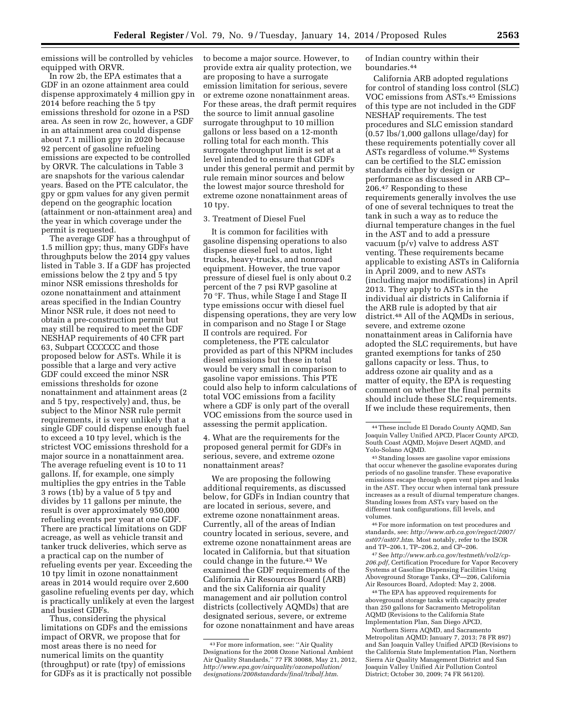emissions will be controlled by vehicles equipped with ORVR.

In row 2b, the EPA estimates that a GDF in an ozone attainment area could dispense approximately 4 million gpy in 2014 before reaching the 5 tpy emissions threshold for ozone in a PSD area. As seen in row 2c, however, a GDF in an attainment area could dispense about 7.1 million gpy in 2020 because 92 percent of gasoline refueling emissions are expected to be controlled by ORVR. The calculations in Table 3 are snapshots for the various calendar years. Based on the PTE calculator, the gpy or gpm values for any given permit depend on the geographic location (attainment or non-attainment area) and the year in which coverage under the permit is requested.

The average GDF has a throughput of 1.5 million gpy; thus, many GDFs have throughputs below the 2014 gpy values listed in Table 3. If a GDF has projected emissions below the 2 tpy and 5 tpy minor NSR emissions thresholds for ozone nonattainment and attainment areas specified in the Indian Country Minor NSR rule, it does not need to obtain a pre-construction permit but may still be required to meet the GDF NESHAP requirements of 40 CFR part 63, Subpart CCCCCC and those proposed below for ASTs. While it is possible that a large and very active GDF could exceed the minor NSR emissions thresholds for ozone nonattainment and attainment areas (2 and 5 tpy, respectively) and, thus, be subject to the Minor NSR rule permit requirements, it is very unlikely that a single GDF could dispense enough fuel to exceed a 10 tpy level, which is the strictest VOC emissions threshold for a major source in a nonattainment area. The average refueling event is 10 to 11 gallons. If, for example, one simply multiplies the gpy entries in the Table 3 rows (1b) by a value of 5 tpy and divides by 11 gallons per minute, the result is over approximately 950,000 refueling events per year at one GDF. There are practical limitations on GDF acreage, as well as vehicle transit and tanker truck deliveries, which serve as a practical cap on the number of refueling events per year. Exceeding the 10 tpy limit in ozone nonattainment areas in 2014 would require over 2,600 gasoline refueling events per day, which is practically unlikely at even the largest and busiest GDFs.

Thus, considering the physical limitations on GDFs and the emissions impact of ORVR, we propose that for most areas there is no need for numerical limits on the quantity (throughput) or rate (tpy) of emissions for GDFs as it is practically not possible to become a major source. However, to provide extra air quality protection, we are proposing to have a surrogate emission limitation for serious, severe or extreme ozone nonattainment areas. For these areas, the draft permit requires the source to limit annual gasoline surrogate throughput to 10 million gallons or less based on a 12-month rolling total for each month. This surrogate throughput limit is set at a level intended to ensure that GDFs under this general permit and permit by rule remain minor sources and below the lowest major source threshold for extreme ozone nonattainment areas of 10 tpy.

#### 3. Treatment of Diesel Fuel

It is common for facilities with gasoline dispensing operations to also dispense diesel fuel to autos, light trucks, heavy-trucks, and nonroad equipment. However, the true vapor pressure of diesel fuel is only about 0.2 percent of the 7 psi RVP gasoline at 70 °F. Thus, while Stage I and Stage II type emissions occur with diesel fuel dispensing operations, they are very low in comparison and no Stage I or Stage II controls are required. For completeness, the PTE calculator provided as part of this NPRM includes diesel emissions but these in total would be very small in comparison to gasoline vapor emissions. This PTE could also help to inform calculations of total VOC emissions from a facility where a GDF is only part of the overall VOC emissions from the source used in assessing the permit application.

4. What are the requirements for the proposed general permit for GDFs in serious, severe, and extreme ozone nonattainment areas?

We are proposing the following additional requirements, as discussed below, for GDFs in Indian country that are located in serious, severe, and extreme ozone nonattainment areas. Currently, all of the areas of Indian country located in serious, severe, and extreme ozone nonattainment areas are located in California, but that situation could change in the future.<sup>43</sup> We examined the GDF requirements of the California Air Resources Board (ARB) and the six California air quality management and air pollution control districts (collectively AQMDs) that are designated serious, severe, or extreme for ozone nonattainment and have areas of Indian country within their boundaries.44

California ARB adopted regulations for control of standing loss control (SLC) VOC emissions from ASTs.45 Emissions of this type are not included in the GDF NESHAP requirements. The test procedures and SLC emission standard (0.57 lbs/1,000 gallons ullage/day) for these requirements potentially cover all ASTs regardless of volume.46 Systems can be certified to the SLC emission standards either by design or performance as discussed in ARB CP– 206.47 Responding to these requirements generally involves the use of one of several techniques to treat the tank in such a way as to reduce the diurnal temperature changes in the fuel in the AST and to add a pressure vacuum (p/v) valve to address AST venting. These requirements became applicable to existing ASTs in California in April 2009, and to new ASTs (including major modifications) in April 2013. They apply to ASTs in the individual air districts in California if the ARB rule is adopted by that air district.48 All of the AQMDs in serious, severe, and extreme ozone nonattainment areas in California have adopted the SLC requirements, but have granted exemptions for tanks of 250 gallons capacity or less. Thus, to address ozone air quality and as a matter of equity, the EPA is requesting comment on whether the final permits should include these SLC requirements. If we include these requirements, then

45Standing losses are gasoline vapor emissions that occur whenever the gasoline evaporates during periods of no gasoline transfer. These evaporative emissions escape through open vent pipes and leaks in the AST. They occur when internal tank pressure increases as a result of diurnal temperature changes. Standing losses from ASTs vary based on the different tank configurations, fill levels, and volumes.

46For more information on test procedures and standards, see: *[http://www.arb.ca.gov/regact/2007/](http://www.arb.ca.gov/regact/2007/ast07/ast07.htm) [ast07/ast07.htm](http://www.arb.ca.gov/regact/2007/ast07/ast07.htm)*. Most notably, refer to the ISOR and TP–206.1, TP–206.2, and CP–206.

47See *[http://www.arb.ca.gov/testmeth/vol2/cp-](http://www.arb.ca.gov/testmeth/vol2/cp-206.pdf)[206.pdf,](http://www.arb.ca.gov/testmeth/vol2/cp-206.pdf)* Certification Procedure for Vapor Recovery Systems at Gasoline Dispensing Facilities Using Aboveground Storage Tanks, CP—206, California Air Resources Board, Adopted: May 2, 2008.

48The EPA has approved requirements for aboveground storage tanks with capacity greater than 250 gallons for Sacramento Metropolitan AQMD (Revisions to the California State Implementation Plan, San Diego APCD,

Northern Sierra AQMD, and Sacramento Metropolitan AQMD; January 7, 2013; 78 FR 897) and San Joaquin Valley Unified APCD (Revisions to the California State Implementation Plan, Northern Sierra Air Quality Management District and San Joaquin Valley Unified Air Pollution Control District; October 30, 2009; 74 FR 56120).

<sup>43</sup>For more information, see: ''Air Quality Designations for the 2008 Ozone National Ambient Air Quality Standards,'' 77 FR 30088, May 21, 2012, *[http://www.epa.gov/airquality/ozonepollution/](http://www.epa.gov/airquality/ozonepollution/designations/2008standards/final/tribalf.htm) [designations/2008standards/final/tribalf.htm](http://www.epa.gov/airquality/ozonepollution/designations/2008standards/final/tribalf.htm)*.

<sup>44</sup>These include El Dorado County AQMD, San Joaquin Valley Unified APCD, Placer County APCD, South Coast AQMD, Mojave Desert AQMD, and Yolo-Solano AQMD.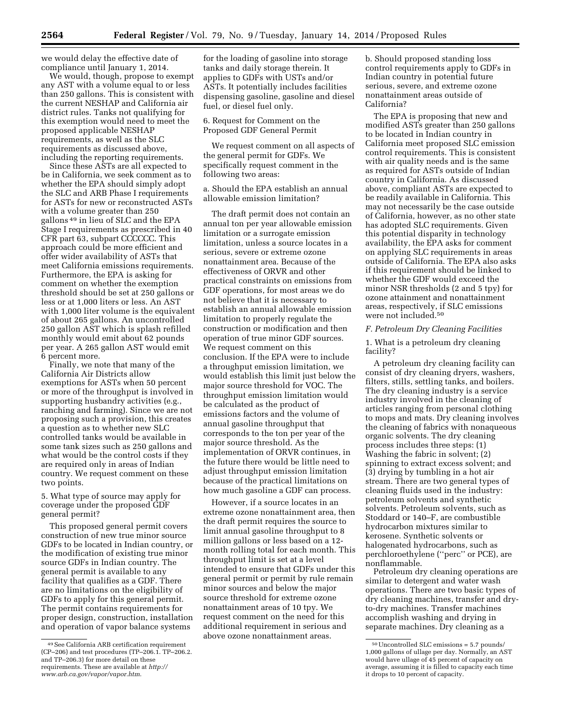we would delay the effective date of compliance until January 1, 2014.

We would, though, propose to exempt any AST with a volume equal to or less than 250 gallons. This is consistent with the current NESHAP and California air district rules. Tanks not qualifying for this exemption would need to meet the proposed applicable NESHAP requirements, as well as the SLC requirements as discussed above, including the reporting requirements.

Since these ASTs are all expected to be in California, we seek comment as to whether the EPA should simply adopt the SLC and ARB Phase I requirements for ASTs for new or reconstructed ASTs with a volume greater than 250 gallons 49 in lieu of SLC and the EPA Stage I requirements as prescribed in 40 CFR part 63, subpart CCCCCC. This approach could be more efficient and offer wider availability of ASTs that meet California emissions requirements. Furthermore, the EPA is asking for comment on whether the exemption threshold should be set at 250 gallons or less or at 1,000 liters or less. An AST with 1,000 liter volume is the equivalent of about 265 gallons. An uncontrolled 250 gallon AST which is splash refilled monthly would emit about 62 pounds per year. A 265 gallon AST would emit 6 percent more.

Finally, we note that many of the California Air Districts allow exemptions for ASTs when 50 percent or more of the throughput is involved in supporting husbandry activities (e.g., ranching and farming). Since we are not proposing such a provision, this creates a question as to whether new SLC controlled tanks would be available in some tank sizes such as 250 gallons and what would be the control costs if they are required only in areas of Indian country. We request comment on these two points.

5. What type of source may apply for coverage under the proposed GDF general permit?

This proposed general permit covers construction of new true minor source GDFs to be located in Indian country, or the modification of existing true minor source GDFs in Indian country. The general permit is available to any facility that qualifies as a GDF. There are no limitations on the eligibility of GDFs to apply for this general permit. The permit contains requirements for proper design, construction, installation and operation of vapor balance systems

for the loading of gasoline into storage tanks and daily storage therein. It applies to GDFs with USTs and/or ASTs. It potentially includes facilities dispensing gasoline, gasoline and diesel fuel, or diesel fuel only.

6. Request for Comment on the Proposed GDF General Permit

We request comment on all aspects of the general permit for GDFs. We specifically request comment in the following two areas:

a. Should the EPA establish an annual allowable emission limitation?

The draft permit does not contain an annual ton per year allowable emission limitation or a surrogate emission limitation, unless a source locates in a serious, severe or extreme ozone nonattainment area. Because of the effectiveness of ORVR and other practical constraints on emissions from GDF operations, for most areas we do not believe that it is necessary to establish an annual allowable emission limitation to properly regulate the construction or modification and then operation of true minor GDF sources. We request comment on this conclusion. If the EPA were to include a throughput emission limitation, we would establish this limit just below the major source threshold for VOC. The throughput emission limitation would be calculated as the product of emissions factors and the volume of annual gasoline throughput that corresponds to the ton per year of the major source threshold. As the implementation of ORVR continues, in the future there would be little need to adjust throughput emission limitation because of the practical limitations on how much gasoline a GDF can process.

However, if a source locates in an extreme ozone nonattainment area, then the draft permit requires the source to limit annual gasoline throughput to 8 million gallons or less based on a 12 month rolling total for each month. This throughput limit is set at a level intended to ensure that GDFs under this general permit or permit by rule remain minor sources and below the major source threshold for extreme ozone nonattainment areas of 10 tpy. We request comment on the need for this additional requirement in serious and above ozone nonattainment areas.

b. Should proposed standing loss control requirements apply to GDFs in Indian country in potential future serious, severe, and extreme ozone nonattainment areas outside of California?

The EPA is proposing that new and modified ASTs greater than 250 gallons to be located in Indian country in California meet proposed SLC emission control requirements. This is consistent with air quality needs and is the same as required for ASTs outside of Indian country in California. As discussed above, compliant ASTs are expected to be readily available in California. This may not necessarily be the case outside of California, however, as no other state has adopted SLC requirements. Given this potential disparity in technology availability, the EPA asks for comment on applying SLC requirements in areas outside of California. The EPA also asks if this requirement should be linked to whether the GDF would exceed the minor NSR thresholds (2 and 5 tpy) for ozone attainment and nonattainment areas, respectively, if SLC emissions were not included.50

#### *F. Petroleum Dry Cleaning Facilities*

1. What is a petroleum dry cleaning facility?

A petroleum dry cleaning facility can consist of dry cleaning dryers, washers, filters, stills, settling tanks, and boilers. The dry cleaning industry is a service industry involved in the cleaning of articles ranging from personal clothing to mops and mats. Dry cleaning involves the cleaning of fabrics with nonaqueous organic solvents. The dry cleaning process includes three steps: (1) Washing the fabric in solvent; (2) spinning to extract excess solvent; and (3) drying by tumbling in a hot air stream. There are two general types of cleaning fluids used in the industry: petroleum solvents and synthetic solvents. Petroleum solvents, such as Stoddard or 140–F, are combustible hydrocarbon mixtures similar to kerosene. Synthetic solvents or halogenated hydrocarbons, such as perchloroethylene (''perc'' or PCE), are nonflammable.

Petroleum dry cleaning operations are similar to detergent and water wash operations. There are two basic types of dry cleaning machines, transfer and dryto-dry machines. Transfer machines accomplish washing and drying in separate machines. Dry cleaning as a

<sup>49</sup>See California ARB certification requirement (CP–206) and test procedures (TP–206.1. TP–206.2. and TP–206.3) for more detail on these requirements. These are available at *[http://](http://www.arb.ca.gov/vapor/vapor.htm) [www.arb.ca.gov/vapor/vapor.htm](http://www.arb.ca.gov/vapor/vapor.htm)*.

<sup>50</sup>Uncontrolled SLC emissions = 5.7 pounds/ 1,000 gallons of ullage per day. Normally, an AST would have ullage of 45 percent of capacity on average, assuming it is filled to capacity each time it drops to 10 percent of capacity.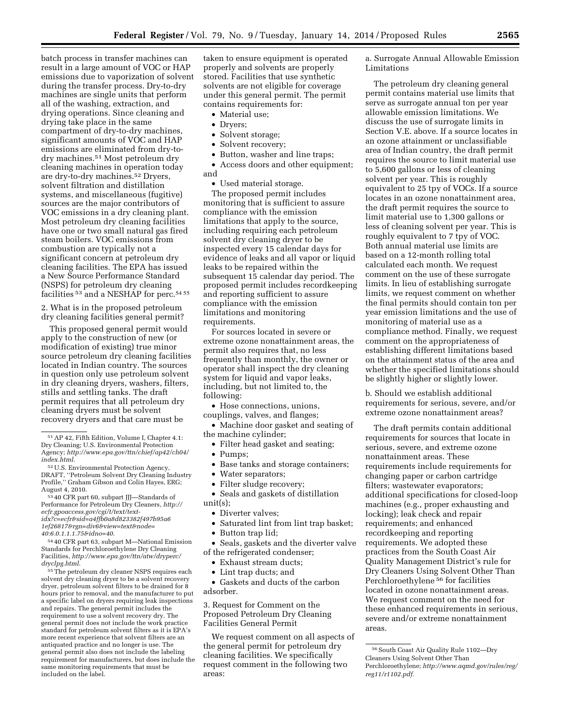batch process in transfer machines can result in a large amount of VOC or HAP emissions due to vaporization of solvent during the transfer process. Dry-to-dry machines are single units that perform all of the washing, extraction, and drying operations. Since cleaning and drying take place in the same compartment of dry-to-dry machines, significant amounts of VOC and HAP emissions are eliminated from dry-todry machines.51 Most petroleum dry cleaning machines in operation today are dry-to-dry machines.52 Dryers, solvent filtration and distillation systems, and miscellaneous (fugitive) sources are the major contributors of VOC emissions in a dry cleaning plant. Most petroleum dry cleaning facilities have one or two small natural gas fired steam boilers. VOC emissions from combustion are typically not a significant concern at petroleum dry cleaning facilities. The EPA has issued a New Source Performance Standard (NSPS) for petroleum dry cleaning facilities <sup>53</sup> and a NESHAP for perc.<sup>54 55</sup>

2. What is in the proposed petroleum dry cleaning facilities general permit?

This proposed general permit would apply to the construction of new (or modification of existing) true minor source petroleum dry cleaning facilities located in Indian country. The sources in question only use petroleum solvent in dry cleaning dryers, washers, filters, stills and settling tanks. The draft permit requires that all petroleum dry cleaning dryers must be solvent recovery dryers and that care must be

53 40 CFR part 60, subpart JJJ—Standards of Performance for Petroleum Dry Cleaners, *[http://](http://ecfr.gpoaccess.gov/cgi/t/text/text-idx?c=ecfr&sid=a4ffb0a8d823382f497b95a61ef26817&rgn=div6&view=text&node=40:6.0.1.1.1.75&idno=40) [ecfr.gpoaccess.gov/cgi/t/text/text](http://ecfr.gpoaccess.gov/cgi/t/text/text-idx?c=ecfr&sid=a4ffb0a8d823382f497b95a61ef26817&rgn=div6&view=text&node=40:6.0.1.1.1.75&idno=40)[idx?c=ecfr&sid=a4ffb0a8d823382f497b95a6](http://ecfr.gpoaccess.gov/cgi/t/text/text-idx?c=ecfr&sid=a4ffb0a8d823382f497b95a61ef26817&rgn=div6&view=text&node=40:6.0.1.1.1.75&idno=40) [1ef26817&rgn=div6&view=text&node=](http://ecfr.gpoaccess.gov/cgi/t/text/text-idx?c=ecfr&sid=a4ffb0a8d823382f497b95a61ef26817&rgn=div6&view=text&node=40:6.0.1.1.1.75&idno=40) [40:6.0.1.1.1.75&idno=40](http://ecfr.gpoaccess.gov/cgi/t/text/text-idx?c=ecfr&sid=a4ffb0a8d823382f497b95a61ef26817&rgn=div6&view=text&node=40:6.0.1.1.1.75&idno=40)*.

54 40 CFR part 63, subpart M—National Emission Standards for Perchloroethylene Dry Cleaning Facilities, *[http://www.epa.gov/ttn/atw/dryperc/](http://www.epa.gov/ttn/atw/dryperc/dryclpg.html) [dryclpg.html](http://www.epa.gov/ttn/atw/dryperc/dryclpg.html)*.

55The petroleum dry cleaner NSPS requires each solvent dry cleaning dryer to be a solvent recovery dryer, petroleum solvent filters to be drained for 8 hours prior to removal, and the manufacturer to put a specific label on dryers requiring leak inspections and repairs. The general permit includes the requirement to use a solvent recovery dry. The general permit does not include the work practice standard for petroleum solvent filters as it is EPA's more recent experience that solvent filters are an antiquated practice and no longer is use. The general permit also does not include the labeling requirement for manufacturers, but does include the same monitoring requirements that must be included on the label.

taken to ensure equipment is operated properly and solvents are properly stored. Facilities that use synthetic solvents are not eligible for coverage under this general permit. The permit contains requirements for:

- Material use;
- Dryers;
- Solvent storage;
- Solvent recovery;
- Button, washer and line traps;

• Access doors and other equipment; and

• Used material storage.

The proposed permit includes monitoring that is sufficient to assure compliance with the emission limitations that apply to the source, including requiring each petroleum solvent dry cleaning dryer to be inspected every 15 calendar days for evidence of leaks and all vapor or liquid leaks to be repaired within the subsequent 15 calendar day period. The proposed permit includes recordkeeping and reporting sufficient to assure compliance with the emission limitations and monitoring requirements.

For sources located in severe or extreme ozone nonattainment areas, the permit also requires that, no less frequently than monthly, the owner or operator shall inspect the dry cleaning system for liquid and vapor leaks, including, but not limited to, the following:

• Hose connections, unions,

couplings, valves, and flanges; • Machine door gasket and seating of

- the machine cylinder;
	- Filter head gasket and seating;
	- Pumps;
	- Base tanks and storage containers;
	- Water separators;
	- Filter sludge recovery;

• Seals and gaskets of distillation unit(s);

- Diverter valves;
- Saturated lint from lint trap basket;
- Button trap lid;

• Seals, gaskets and the diverter valve of the refrigerated condenser;

- Exhaust stream ducts;
- Lint trap ducts; and

• Gaskets and ducts of the carbon adsorber.

3. Request for Comment on the Proposed Petroleum Dry Cleaning Facilities General Permit

We request comment on all aspects of the general permit for petroleum dry cleaning facilities. We specifically request comment in the following two areas:

a. Surrogate Annual Allowable Emission Limitations

The petroleum dry cleaning general permit contains material use limits that serve as surrogate annual ton per year allowable emission limitations. We discuss the use of surrogate limits in Section V.E. above. If a source locates in an ozone attainment or unclassifiable area of Indian country, the draft permit requires the source to limit material use to 5,600 gallons or less of cleaning solvent per year. This is roughly equivalent to 25 tpy of VOCs. If a source locates in an ozone nonattainment area, the draft permit requires the source to limit material use to 1,300 gallons or less of cleaning solvent per year. This is roughly equivalent to 7 tpy of VOC. Both annual material use limits are based on a 12-month rolling total calculated each month. We request comment on the use of these surrogate limits. In lieu of establishing surrogate limits, we request comment on whether the final permits should contain ton per year emission limitations and the use of monitoring of material use as a compliance method. Finally, we request comment on the appropriateness of establishing different limitations based on the attainment status of the area and whether the specified limitations should be slightly higher or slightly lower.

b. Should we establish additional requirements for serious, severe, and/or extreme ozone nonattainment areas?

The draft permits contain additional requirements for sources that locate in serious, severe, and extreme ozone nonattainment areas. These requirements include requirements for changing paper or carbon cartridge filters; wastewater evaporators; additional specifications for closed-loop machines (e.g., proper exhausting and locking); leak check and repair requirements; and enhanced recordkeeping and reporting requirements. We adopted these practices from the South Coast Air Quality Management District's rule for Dry Cleaners Using Solvent Other Than Perchloroethylene 56 for facilities located in ozone nonattainment areas. We request comment on the need for these enhanced requirements in serious, severe and/or extreme nonattainment areas.

<sup>51</sup>AP 42, Fifth Edition, Volume I, Chapter 4.1: Dry Cleaning; U.S. Environmental Protection Agency; *[http://www.epa.gov/ttn/chief/ap42/ch04/](http://www.epa.gov/ttn/chief/ap42/ch04/index.html) [index.html](http://www.epa.gov/ttn/chief/ap42/ch04/index.html)*.

<sup>52</sup>U.S. Environmental Protection Agency, DRAFT, ''Petroleum Solvent Dry Cleaning Industry Profile,'' Graham Gibson and Colin Hayes, ERG; August 4, 2010.

<sup>56</sup>South Coast Air Quality Rule 1102—Dry Cleaners Using Solvent Other Than Perchloroethylene; *[http://www.aqmd.gov/rules/reg/](http://www.aqmd.gov/rules/reg/reg11/r1102.pdf) [reg11/r1102.pdf.](http://www.aqmd.gov/rules/reg/reg11/r1102.pdf)*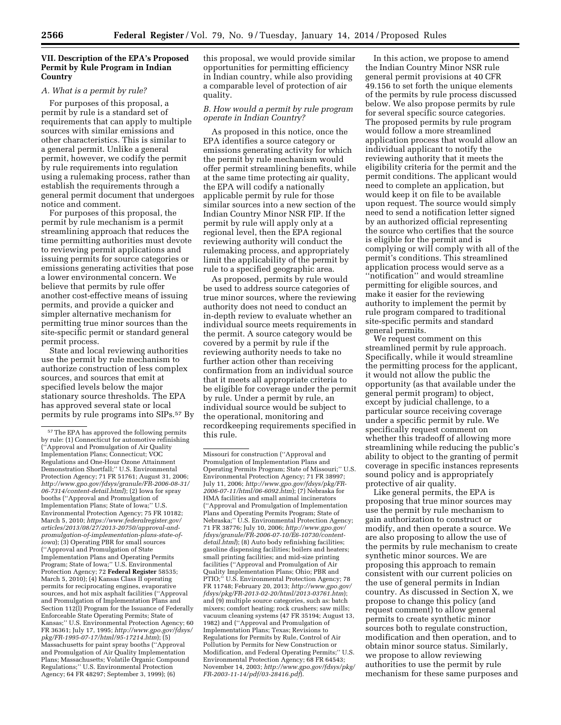# **VII. Description of the EPA's Proposed Permit by Rule Program in Indian Country**

#### *A. What is a permit by rule?*

For purposes of this proposal, a permit by rule is a standard set of requirements that can apply to multiple sources with similar emissions and other characteristics. This is similar to a general permit. Unlike a general permit, however, we codify the permit by rule requirements into regulation using a rulemaking process, rather than establish the requirements through a general permit document that undergoes notice and comment.

For purposes of this proposal, the permit by rule mechanism is a permit streamlining approach that reduces the time permitting authorities must devote to reviewing permit applications and issuing permits for source categories or emissions generating activities that pose a lower environmental concern. We believe that permits by rule offer another cost-effective means of issuing permits, and provide a quicker and simpler alternative mechanism for permitting true minor sources than the site-specific permit or standard general permit process.

State and local reviewing authorities use the permit by rule mechanism to authorize construction of less complex sources, and sources that emit at specified levels below the major stationary source thresholds. The EPA has approved several state or local permits by rule programs into SIPs.57 By this proposal, we would provide similar opportunities for permitting efficiency in Indian country, while also providing a comparable level of protection of air quality.

## *B. How would a permit by rule program operate in Indian Country?*

As proposed in this notice, once the EPA identifies a source category or emissions generating activity for which the permit by rule mechanism would offer permit streamlining benefits, while at the same time protecting air quality, the EPA will codify a nationally applicable permit by rule for those similar sources into a new section of the Indian Country Minor NSR FIP. If the permit by rule will apply only at a regional level, then the EPA regional reviewing authority will conduct the rulemaking process, and appropriately limit the applicability of the permit by rule to a specified geographic area.

As proposed, permits by rule would be used to address source categories of true minor sources, where the reviewing authority does not need to conduct an in-depth review to evaluate whether an individual source meets requirements in the permit. A source category would be covered by a permit by rule if the reviewing authority needs to take no further action other than receiving confirmation from an individual source that it meets all appropriate criteria to be eligible for coverage under the permit by rule. Under a permit by rule, an individual source would be subject to the operational, monitoring and recordkeeping requirements specified in this rule.

In this action, we propose to amend the Indian Country Minor NSR rule general permit provisions at 40 CFR 49.156 to set forth the unique elements of the permits by rule process discussed below. We also propose permits by rule for several specific source categories. The proposed permits by rule program would follow a more streamlined application process that would allow an individual applicant to notify the reviewing authority that it meets the eligibility criteria for the permit and the permit conditions. The applicant would need to complete an application, but would keep it on file to be available upon request. The source would simply need to send a notification letter signed by an authorized official representing the source who certifies that the source is eligible for the permit and is complying or will comply with all of the permit's conditions. This streamlined application process would serve as a ''notification'' and would streamline permitting for eligible sources, and make it easier for the reviewing authority to implement the permit by rule program compared to traditional site-specific permits and standard general permits.

We request comment on this streamlined permit by rule approach. Specifically, while it would streamline the permitting process for the applicant, it would not allow the public the opportunity (as that available under the general permit program) to object, except by judicial challenge, to a particular source receiving coverage under a specific permit by rule. We specifically request comment on whether this tradeoff of allowing more streamlining while reducing the public's ability to object to the granting of permit coverage in specific instances represents sound policy and is appropriately protective of air quality.

Like general permits, the EPA is proposing that true minor sources may use the permit by rule mechanism to gain authorization to construct or modify, and then operate a source. We are also proposing to allow the use of the permits by rule mechanism to create synthetic minor sources. We are proposing this approach to remain consistent with our current policies on the use of general permits in Indian country. As discussed in Section X, we propose to change this policy (and request comment) to allow general permits to create synthetic minor sources both to regulate construction, modification and then operation, and to obtain minor source status. Similarly, we propose to allow reviewing authorities to use the permit by rule mechanism for these same purposes and

<sup>57</sup>The EPA has approved the following permits by rule: (1) Connecticut for automotive refinishing (''Approval and Promulgation of Air Quality Implementation Plans; Connecticut; VOC Regulations and One-Hour Ozone Attainment Demonstration Shortfall;'' U.S. Environmental Protection Agency; 71 FR 51761; August 31, 2006; *[http://www.gpo.gov/fdsys/granule/FR-2006-08-31/](http://www.gpo.gov/fdsys/granule/FR-2006-08-31/06-7314/content-detail.html) [06-7314/content-detail.html](http://www.gpo.gov/fdsys/granule/FR-2006-08-31/06-7314/content-detail.html)*); (2) Iowa for spray booths (''Approval and Promulgation of Implementation Plans; State of Iowa;'' U.S. Environmental Protection Agency; 75 FR 10182; March 5, 2010; *[https://www.federalregister.gov/](https://www.federalregister.gov/articles/2013/08/27/2013-20750/approval-and-promulgation-of-implementation-plans-state-of-iowa) [articles/2013/08/27/2013-20750/approval-and](https://www.federalregister.gov/articles/2013/08/27/2013-20750/approval-and-promulgation-of-implementation-plans-state-of-iowa)[promulgation-of-implementation-plans-state-of](https://www.federalregister.gov/articles/2013/08/27/2013-20750/approval-and-promulgation-of-implementation-plans-state-of-iowa)[iowa](https://www.federalregister.gov/articles/2013/08/27/2013-20750/approval-and-promulgation-of-implementation-plans-state-of-iowa)*); (3) Operating PBR for small sources (''Approval and Promulgation of State Implementation Plans and Operating Permits Program; State of Iowa;'' U.S. Environmental Protection Agency; 72 **Federal Register** 58535; March 5, 2010); (4) Kansas Class II operating permits for reciprocating engines, evaporative sources, and hot mix asphalt facilities (''Approval and Promulgation of Implementation Plans and Section 112(l) Program for the Issuance of Federally Enforceable State Operating Permits; State of Kansas;'' U.S. Environmental Protection Agency; 60 FR 36361; July 17, 1995; *[http://www.gpo.gov/fdsys/](http://www.gpo.gov/fdsys/pkg/FR-1995-07-17/html/95-17214.htm) [pkg/FR-1995-07-17/html/95-17214.htm](http://www.gpo.gov/fdsys/pkg/FR-1995-07-17/html/95-17214.htm)*); (5) Massachusetts for paint spray booths (''Approval and Promulgation of Air Quality Implementation Plans; Massachusetts; Volatile Organic Compound Regulations;'' U.S. Environmental Protection Agency; 64 FR 48297; September 3, 1999); (6)

Missouri for construction (''Approval and Promulgation of Implementation Plans and Operating Permits Program; State of Missouri;'' U.S. Environmental Protection Agency; 71 FR 38997; July 11, 2006; *[http://www.gpo.gov/fdsys/pkg/FR-](http://www.gpo.gov/fdsys/pkg/FR-2006-07-11/html/06-6092.htm)[2006-07-11/html/06-6092.htm](http://www.gpo.gov/fdsys/pkg/FR-2006-07-11/html/06-6092.htm)*); (7) Nebraska for HMA facilities and small animal incinerators (''Approval and Promulgation of Implementation Plans and Operating Permits Program; State of Nebraska;" U.S. Environmental Protection Agency; 71 FR 38776; July 10, 2006; *[http://www.gpo.gov/](http://www.gpo.gov/fdsys/granule/FR-2006-07-10/E6-10730/content-detail.html) [fdsys/granule/FR-2006-07-10/E6-10730/content](http://www.gpo.gov/fdsys/granule/FR-2006-07-10/E6-10730/content-detail.html)[detail.html](http://www.gpo.gov/fdsys/granule/FR-2006-07-10/E6-10730/content-detail.html)*); (8) Auto body refinishing facilities; gasoline dispensing facilities; boilers and heaters; small printing facilities; and mid-size printing facilities (''Approval and Promulgation of Air Quality Implementation Plans; Ohio; PBR and PTIO;" U.S. Environmental Protection Agency; 78 FR 11748; February 20, 2013; *[http://www.gpo.gov/](http://www.gpo.gov/fdsys/pkg/FR-2013-02-20/html/2013-03761.htm)  [fdsys/pkg/FR-2013-02-20/html/2013-03761.htm](http://www.gpo.gov/fdsys/pkg/FR-2013-02-20/html/2013-03761.htm)*); and (9) multiple source categories, such as: batch mixers; comfort heating; rock crushers; saw mills; vacuum cleaning systems (47 FR 35194; August 13, 1982) and (''Approval and Promulgation of Implementation Plans; Texas; Revisions to Regulations for Permits by Rule, Control of Air Pollution by Permits for New Construction or Modification, and Federal Operating Permits;'' U.S. Environmental Protection Agency; 68 FR 64543; November 14, 2003; *[http://www.gpo.gov/fdsys/pkg/](http://www.gpo.gov/fdsys/pkg/FR-2003-11-14/pdf/03-28416.pdf)  [FR-2003-11-14/pdf/03-28416.pdf](http://www.gpo.gov/fdsys/pkg/FR-2003-11-14/pdf/03-28416.pdf)*).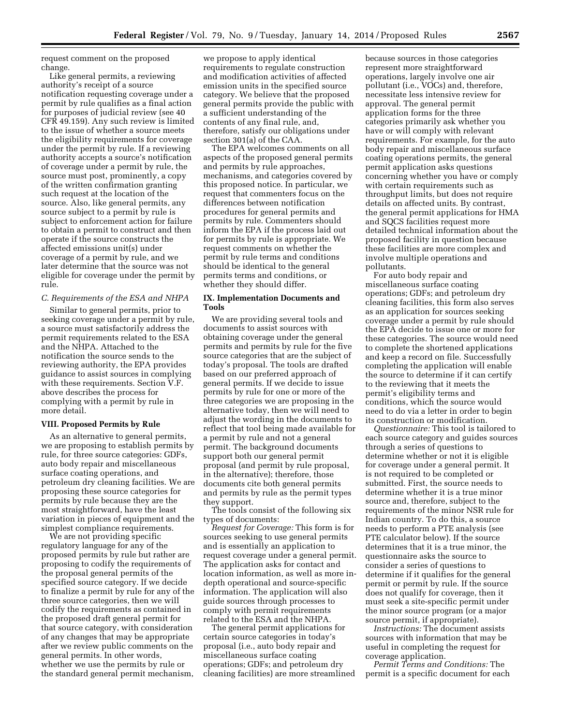request comment on the proposed change.

Like general permits, a reviewing authority's receipt of a source notification requesting coverage under a permit by rule qualifies as a final action for purposes of judicial review (see 40 CFR 49.159). Any such review is limited to the issue of whether a source meets the eligibility requirements for coverage under the permit by rule. If a reviewing authority accepts a source's notification of coverage under a permit by rule, the source must post, prominently, a copy of the written confirmation granting such request at the location of the source. Also, like general permits, any source subject to a permit by rule is subject to enforcement action for failure to obtain a permit to construct and then operate if the source constructs the affected emissions unit(s) under coverage of a permit by rule, and we later determine that the source was not eligible for coverage under the permit by rule.

# *C. Requirements of the ESA and NHPA*

Similar to general permits, prior to seeking coverage under a permit by rule, a source must satisfactorily address the permit requirements related to the ESA and the NHPA. Attached to the notification the source sends to the reviewing authority, the EPA provides guidance to assist sources in complying with these requirements. Section V.F. above describes the process for complying with a permit by rule in more detail.

#### **VIII. Proposed Permits by Rule**

As an alternative to general permits, we are proposing to establish permits by rule, for three source categories: GDFs, auto body repair and miscellaneous surface coating operations, and petroleum dry cleaning facilities. We are proposing these source categories for permits by rule because they are the most straightforward, have the least variation in pieces of equipment and the simplest compliance requirements.

We are not providing specific regulatory language for any of the proposed permits by rule but rather are proposing to codify the requirements of the proposal general permits of the specified source category. If we decide to finalize a permit by rule for any of the three source categories, then we will codify the requirements as contained in the proposed draft general permit for that source category, with consideration of any changes that may be appropriate after we review public comments on the general permits. In other words, whether we use the permits by rule or the standard general permit mechanism,

we propose to apply identical requirements to regulate construction and modification activities of affected emission units in the specified source category. We believe that the proposed general permits provide the public with a sufficient understanding of the contents of any final rule, and, therefore, satisfy our obligations under section 301(a) of the CAA.

The EPA welcomes comments on all aspects of the proposed general permits and permits by rule approaches, mechanisms, and categories covered by this proposed notice. In particular, we request that commenters focus on the differences between notification procedures for general permits and permits by rule. Commenters should inform the EPA if the process laid out for permits by rule is appropriate. We request comments on whether the permit by rule terms and conditions should be identical to the general permits terms and conditions, or whether they should differ.

# **IX. Implementation Documents and Tools**

We are providing several tools and documents to assist sources with obtaining coverage under the general permits and permits by rule for the five source categories that are the subject of today's proposal. The tools are drafted based on our preferred approach of general permits. If we decide to issue permits by rule for one or more of the three categories we are proposing in the alternative today, then we will need to adjust the wording in the documents to reflect that tool being made available for a permit by rule and not a general permit. The background documents support both our general permit proposal (and permit by rule proposal, in the alternative); therefore, those documents cite both general permits and permits by rule as the permit types they support.

The tools consist of the following six types of documents:

*Request for Coverage:* This form is for sources seeking to use general permits and is essentially an application to request coverage under a general permit. The application asks for contact and location information, as well as more indepth operational and source-specific information. The application will also guide sources through processes to comply with permit requirements related to the ESA and the NHPA.

The general permit applications for certain source categories in today's proposal (i.e., auto body repair and miscellaneous surface coating operations; GDFs; and petroleum dry cleaning facilities) are more streamlined because sources in those categories represent more straightforward operations, largely involve one air pollutant (i.e., VOCs) and, therefore, necessitate less intensive review for approval. The general permit application forms for the three categories primarily ask whether you have or will comply with relevant requirements. For example, for the auto body repair and miscellaneous surface coating operations permits, the general permit application asks questions concerning whether you have or comply with certain requirements such as throughput limits, but does not require details on affected units. By contrast, the general permit applications for HMA and SQCS facilities request more detailed technical information about the proposed facility in question because these facilities are more complex and involve multiple operations and pollutants.

For auto body repair and miscellaneous surface coating operations; GDFs; and petroleum dry cleaning facilities, this form also serves as an application for sources seeking coverage under a permit by rule should the EPA decide to issue one or more for these categories. The source would need to complete the shortened applications and keep a record on file. Successfully completing the application will enable the source to determine if it can certify to the reviewing that it meets the permit's eligibility terms and conditions, which the source would need to do via a letter in order to begin its construction or modification.

*Questionnaire:* This tool is tailored to each source category and guides sources through a series of questions to determine whether or not it is eligible for coverage under a general permit. It is not required to be completed or submitted. First, the source needs to determine whether it is a true minor source and, therefore, subject to the requirements of the minor NSR rule for Indian country. To do this, a source needs to perform a PTE analysis (see PTE calculator below). If the source determines that it is a true minor, the questionnaire asks the source to consider a series of questions to determine if it qualifies for the general permit or permit by rule. If the source does not qualify for coverage, then it must seek a site-specific permit under the minor source program (or a major source permit, if appropriate).

*Instructions:* The document assists sources with information that may be useful in completing the request for coverage application.

*Permit Terms and Conditions:* The permit is a specific document for each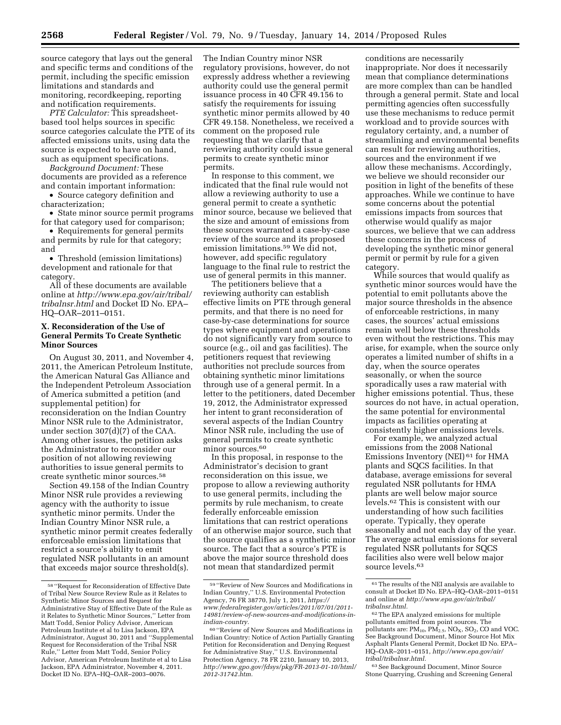source category that lays out the general and specific terms and conditions of the permit, including the specific emission limitations and standards and monitoring, recordkeeping, reporting and notification requirements.

*PTE Calculator:* This spreadsheetbased tool helps sources in specific source categories calculate the PTE of its affected emissions units, using data the source is expected to have on hand, such as equipment specifications.

*Background Document:* These documents are provided as a reference and contain important information:

• Source category definition and characterization;

• State minor source permit programs for that category used for comparison;

• Requirements for general permits and permits by rule for that category; and

• Threshold (emission limitations) development and rationale for that category.

All of these documents are available online at *[http://www.epa.gov/air/tribal/](http://www.epa.gov/air/tribal/tribalnsr.html) [tribalnsr.html](http://www.epa.gov/air/tribal/tribalnsr.html)* and Docket ID No. EPA– HQ–OAR–2011–0151.

# **X. Reconsideration of the Use of General Permits To Create Synthetic Minor Sources**

On August 30, 2011, and November 4, 2011, the American Petroleum Institute, the American Natural Gas Alliance and the Independent Petroleum Association of America submitted a petition (and supplemental petition) for reconsideration on the Indian Country Minor NSR rule to the Administrator, under section 307(d)(7) of the CAA. Among other issues, the petition asks the Administrator to reconsider our position of not allowing reviewing authorities to issue general permits to create synthetic minor sources.58

Section 49.158 of the Indian Country Minor NSR rule provides a reviewing agency with the authority to issue synthetic minor permits. Under the Indian Country Minor NSR rule, a synthetic minor permit creates federally enforceable emission limitations that restrict a source's ability to emit regulated NSR pollutants in an amount that exceeds major source threshold(s).

The Indian Country minor NSR regulatory provisions, however, do not expressly address whether a reviewing authority could use the general permit issuance process in 40 CFR 49.156 to satisfy the requirements for issuing synthetic minor permits allowed by 40 CFR 49.158. Nonetheless, we received a comment on the proposed rule requesting that we clarify that a reviewing authority could issue general permits to create synthetic minor permits.

In response to this comment, we indicated that the final rule would not allow a reviewing authority to use a general permit to create a synthetic minor source, because we believed that the size and amount of emissions from these sources warranted a case-by-case review of the source and its proposed emission limitations.59 We did not, however, add specific regulatory language to the final rule to restrict the use of general permits in this manner.

The petitioners believe that a reviewing authority can establish effective limits on PTE through general permits, and that there is no need for case-by-case determinations for source types where equipment and operations do not significantly vary from source to source (e.g., oil and gas facilities). The petitioners request that reviewing authorities not preclude sources from obtaining synthetic minor limitations through use of a general permit. In a letter to the petitioners, dated December 19, 2012, the Administrator expressed her intent to grant reconsideration of several aspects of the Indian Country Minor NSR rule, including the use of general permits to create synthetic minor sources.<sup>60</sup>

In this proposal, in response to the Administrator's decision to grant reconsideration on this issue, we propose to allow a reviewing authority to use general permits, including the permits by rule mechanism, to create federally enforceable emission limitations that can restrict operations of an otherwise major source, such that the source qualifies as a synthetic minor source. The fact that a source's PTE is above the major source threshold does not mean that standardized permit

conditions are necessarily inappropriate. Nor does it necessarily mean that compliance determinations are more complex than can be handled through a general permit. State and local permitting agencies often successfully use these mechanisms to reduce permit workload and to provide sources with regulatory certainty, and, a number of streamlining and environmental benefits can result for reviewing authorities, sources and the environment if we allow these mechanisms. Accordingly, we believe we should reconsider our position in light of the benefits of these approaches. While we continue to have some concerns about the potential emissions impacts from sources that otherwise would qualify as major sources, we believe that we can address these concerns in the process of developing the synthetic minor general permit or permit by rule for a given category.

While sources that would qualify as synthetic minor sources would have the potential to emit pollutants above the major source thresholds in the absence of enforceable restrictions, in many cases, the sources' actual emissions remain well below these thresholds even without the restrictions. This may arise, for example, when the source only operates a limited number of shifts in a day, when the source operates seasonally, or when the source sporadically uses a raw material with higher emissions potential. Thus, these sources do not have, in actual operation, the same potential for environmental impacts as facilities operating at consistently higher emissions levels.

For example, we analyzed actual emissions from the 2008 National Emissions Inventory (NEI) 61 for HMA plants and SQCS facilities. In that database, average emissions for several regulated NSR pollutants for HMA plants are well below major source levels.62 This is consistent with our understanding of how such facilities operate. Typically, they operate seasonally and not each day of the year. The average actual emissions for several regulated NSR pollutants for SQCS facilities also were well below major source levels.<sup>63</sup>

63See Background Document, Minor Source Stone Quarrying, Crushing and Screening General

<sup>58</sup> ''Request for Reconsideration of Effective Date of Tribal New Source Review Rule as it Relates to Synthetic Minor Sources and Request for Administrative Stay of Effective Date of the Rule as it Relates to Synthetic Minor Sources,'' Letter from Matt Todd, Senior Policy Advisor, American Petroleum Institute et al to Lisa Jackson, EPA Administrator, August 30, 2011 and ''Supplemental Request for Reconsideration of the Tribal NSR Rule,'' Letter from Matt Todd, Senior Policy Advisor, American Petroleum Institute et al to Lisa Jackson, EPA Administrator, November 4, 2011. Docket ID No. EPA–HQ–OAR–2003–0076.

<sup>59</sup> ''Review of New Sources and Modifications in Indian Country,'' U.S. Environmental Protection Agency, 76 FR 38770, July 1, 2011, *[https://](https://www.federalregister.gov/articles/2011/07/01/2011-14981/review-of-new-sources-and-modifications-in-indian-country) [www.federalregister.gov/articles/2011/07/01/2011-](https://www.federalregister.gov/articles/2011/07/01/2011-14981/review-of-new-sources-and-modifications-in-indian-country) [14981/review-of-new-sources-and-modifications-in](https://www.federalregister.gov/articles/2011/07/01/2011-14981/review-of-new-sources-and-modifications-in-indian-country)[indian-country.](https://www.federalregister.gov/articles/2011/07/01/2011-14981/review-of-new-sources-and-modifications-in-indian-country)* 

<sup>60</sup> ''Review of New Sources and Modifications in Indian Country: Notice of Action Partially Granting Petition for Reconsideration and Denying Request for Administrative Stay,'' U.S. Environmental Protection Agency, 78 FR 2210, January 10, 2013, *[http://www.gpo.gov/fdsys/pkg/FR-2013-01-10/html/](http://www.gpo.gov/fdsys/pkg/FR-2013-01-10/html/2012-31742.htm) [2012-31742.htm.](http://www.gpo.gov/fdsys/pkg/FR-2013-01-10/html/2012-31742.htm)* 

 $^{61}\mathrm{The}$  results of the NEI analysis are available to consult at Docket ID No. EPA–HQ–OAR–2011–0151 and online at *[http://www.epa.gov/air/tribal/](http://www.epa.gov/air/tribal/tribalnsr.html) [tribalnsr.html.](http://www.epa.gov/air/tribal/tribalnsr.html)* 

<sup>62</sup>The EPA analyzed emissions for multiple pollutants emitted from point sources. The pollutants are:  $PM_{10}$ ,  $PM_{2.5}$ ,  $NO_X$ ,  $SO_2$ , CO and VOC. See Background Document, Minor Source Hot Mix Asphalt Plants General Permit, Docket ID No. EPA– HQ–OAR–2011–0151, *[http://www.epa.gov/air/](http://www.epa.gov/air/tribal/tribalnsr.html) [tribal/tribalnsr.html.](http://www.epa.gov/air/tribal/tribalnsr.html)*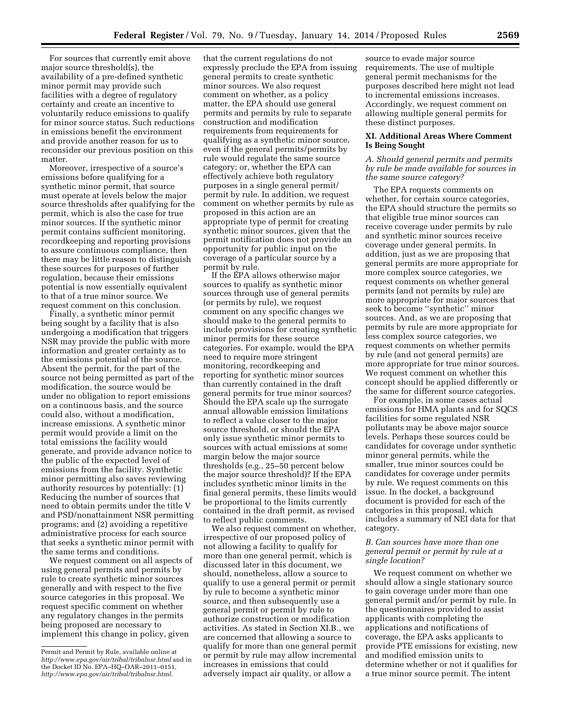For sources that currently emit above major source threshold(s), the availability of a pre-defined synthetic minor permit may provide such facilities with a degree of regulatory certainty and create an incentive to voluntarily reduce emissions to qualify for minor source status. Such reductions in emissions benefit the environment and provide another reason for us to reconsider our previous position on this matter.

Moreover, irrespective of a source's emissions before qualifying for a synthetic minor permit, that source must operate at levels below the major source thresholds after qualifying for the permit, which is also the case for true minor sources. If the synthetic minor permit contains sufficient monitoring, recordkeeping and reporting provisions to assure continuous compliance, then there may be little reason to distinguish these sources for purposes of further regulation, because their emissions potential is now essentially equivalent to that of a true minor source. We request comment on this conclusion.

Finally, a synthetic minor permit being sought by a facility that is also undergoing a modification that triggers NSR may provide the public with more information and greater certainty as to the emissions potential of the source. Absent the permit, for the part of the source not being permitted as part of the modification, the source would be under no obligation to report emissions on a continuous basis, and the source could also, without a modification, increase emissions. A synthetic minor permit would provide a limit on the total emissions the facility would generate, and provide advance notice to the public of the expected level of emissions from the facility. Synthetic minor permitting also saves reviewing authority resources by potentially: (1) Reducing the number of sources that need to obtain permits under the title V and PSD/nonattainment NSR permitting programs; and (2) avoiding a repetitive administrative process for each source that seeks a synthetic minor permit with the same terms and conditions.

We request comment on all aspects of using general permits and permits by rule to create synthetic minor sources generally and with respect to the five source categories in this proposal. We request specific comment on whether any regulatory changes in the permits being proposed are necessary to implement this change in policy, given

that the current regulations do not expressly preclude the EPA from issuing general permits to create synthetic minor sources. We also request comment on whether, as a policy matter, the EPA should use general permits and permits by rule to separate construction and modification requirements from requirements for qualifying as a synthetic minor source, even if the general permits/permits by rule would regulate the same source category; or, whether the EPA can effectively achieve both regulatory purposes in a single general permit/ permit by rule. In addition, we request comment on whether permits by rule as proposed in this action are an appropriate type of permit for creating synthetic minor sources, given that the permit notification does not provide an opportunity for public input on the coverage of a particular source by a permit by rule.

If the EPA allows otherwise major sources to qualify as synthetic minor sources through use of general permits (or permits by rule), we request comment on any specific changes we should make to the general permits to include provisions for creating synthetic minor permits for these source categories. For example, would the EPA need to require more stringent monitoring, recordkeeping and reporting for synthetic minor sources than currently contained in the draft general permits for true minor sources? Should the EPA scale up the surrogate annual allowable emission limitations to reflect a value closer to the major source threshold, or should the EPA only issue synthetic minor permits to sources with actual emissions at some margin below the major source thresholds (e.g., 25–50 percent below the major source threshold)? If the EPA includes synthetic minor limits in the final general permits, these limits would be proportional to the limits currently contained in the draft permit, as revised to reflect public comments.

We also request comment on whether, irrespective of our proposed policy of not allowing a facility to qualify for more than one general permit, which is discussed later in this document, we should, nonetheless, allow a source to qualify to use a general permit or permit by rule to become a synthetic minor source, and then subsequently use a general permit or permit by rule to authorize construction or modification activities. As stated in Section XI.B., we are concerned that allowing a source to qualify for more than one general permit or permit by rule may allow incremental increases in emissions that could adversely impact air quality, or allow a

source to evade major source requirements. The use of multiple general permit mechanisms for the purposes described here might not lead to incremental emissions increases. Accordingly, we request comment on allowing multiple general permits for these distinct purposes.

#### **XI. Additional Areas Where Comment Is Being Sought**

# *A. Should general permits and permits by rule be made available for sources in the same source category?*

The EPA requests comments on whether, for certain source categories, the EPA should structure the permits so that eligible true minor sources can receive coverage under permits by rule and synthetic minor sources receive coverage under general permits. In addition, just as we are proposing that general permits are more appropriate for more complex source categories, we request comments on whether general permits (and not permits by rule) are more appropriate for major sources that seek to become ''synthetic'' minor sources. And, as we are proposing that permits by rule are more appropriate for less complex source categories, we request comments on whether permits by rule (and not general permits) are more appropriate for true minor sources. We request comment on whether this concept should be applied differently or the same for different source categories.

For example, in some cases actual emissions for HMA plants and for SQCS facilities for some regulated NSR pollutants may be above major source levels. Perhaps these sources could be candidates for coverage under synthetic minor general permits, while the smaller, true minor sources could be candidates for coverage under permits by rule. We request comments on this issue. In the docket, a background document is provided for each of the categories in this proposal, which includes a summary of NEI data for that category.

# *B. Can sources have more than one general permit or permit by rule at a single location?*

We request comment on whether we should allow a single stationary source to gain coverage under more than one general permit and/or permit by rule. In the questionnaires provided to assist applicants with completing the applications and notifications of coverage, the EPA asks applicants to provide PTE emissions for existing, new and modified emission units to determine whether or not it qualifies for a true minor source permit. The intent

Permit and Permit by Rule, available online at *<http://www.epa.gov/air/tribal/tribalnsr.html>*and in the Docket ID No. EPA–HQ–OAR–2011–0151, *[http://www.epa.gov/air/tribal/tribalnsr.html.](http://www.epa.gov/air/tribal/tribalnsr.html)*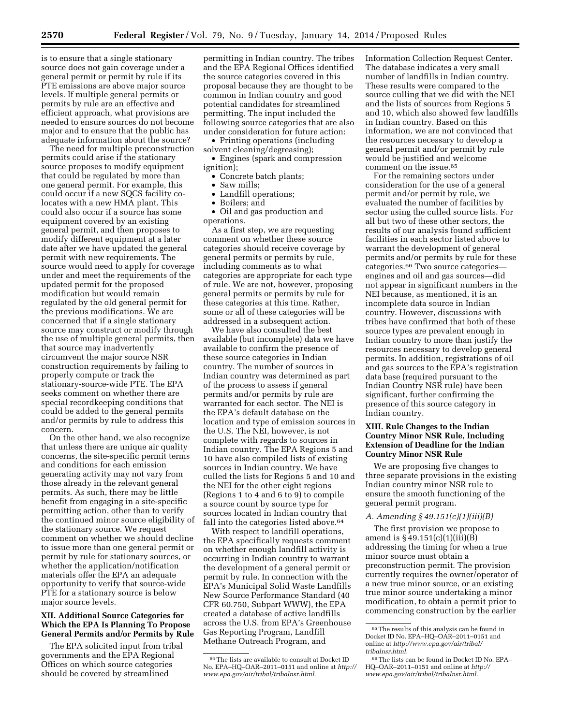is to ensure that a single stationary source does not gain coverage under a general permit or permit by rule if its PTE emissions are above major source levels. If multiple general permits or permits by rule are an effective and efficient approach, what provisions are needed to ensure sources do not become major and to ensure that the public has adequate information about the source?

The need for multiple preconstruction permits could arise if the stationary source proposes to modify equipment that could be regulated by more than one general permit. For example, this could occur if a new SQCS facility colocates with a new HMA plant. This could also occur if a source has some equipment covered by an existing general permit, and then proposes to modify different equipment at a later date after we have updated the general permit with new requirements. The source would need to apply for coverage under and meet the requirements of the updated permit for the proposed modification but would remain regulated by the old general permit for the previous modifications. We are concerned that if a single stationary source may construct or modify through the use of multiple general permits, then that source may inadvertently circumvent the major source NSR construction requirements by failing to properly compute or track the stationary-source-wide PTE. The EPA seeks comment on whether there are special recordkeeping conditions that could be added to the general permits and/or permits by rule to address this concern.

On the other hand, we also recognize that unless there are unique air quality concerns, the site-specific permit terms and conditions for each emission generating activity may not vary from those already in the relevant general permits. As such, there may be little benefit from engaging in a site-specific permitting action, other than to verify the continued minor source eligibility of the stationary source. We request comment on whether we should decline to issue more than one general permit or permit by rule for stationary sources, or whether the application/notification materials offer the EPA an adequate opportunity to verify that source-wide PTE for a stationary source is below major source levels.

# **XII. Additional Source Categories for Which the EPA Is Planning To Propose General Permits and/or Permits by Rule**

The EPA solicited input from tribal governments and the EPA Regional Offices on which source categories should be covered by streamlined

permitting in Indian country. The tribes and the EPA Regional Offices identified the source categories covered in this proposal because they are thought to be common in Indian country and good potential candidates for streamlined permitting. The input included the following source categories that are also under consideration for future action:

• Printing operations (including solvent cleaning/degreasing);

• Engines (spark and compression ignition);

- Concrete batch plants;
- Saw mills;
- Landfill operations;
- Boilers; and
- Oil and gas production and operations.

As a first step, we are requesting comment on whether these source categories should receive coverage by general permits or permits by rule, including comments as to what categories are appropriate for each type of rule. We are not, however, proposing general permits or permits by rule for these categories at this time. Rather, some or all of these categories will be addressed in a subsequent action.

We have also consulted the best available (but incomplete) data we have available to confirm the presence of these source categories in Indian country. The number of sources in Indian country was determined as part of the process to assess if general permits and/or permits by rule are warranted for each sector. The NEI is the EPA's default database on the location and type of emission sources in the U.S. The NEI, however, is not complete with regards to sources in Indian country. The EPA Regions 5 and 10 have also compiled lists of existing sources in Indian country. We have culled the lists for Regions 5 and 10 and the NEI for the other eight regions (Regions 1 to 4 and 6 to 9) to compile a source count by source type for sources located in Indian country that fall into the categories listed above.<sup>64</sup>

With respect to landfill operations, the EPA specifically requests comment on whether enough landfill activity is occurring in Indian country to warrant the development of a general permit or permit by rule. In connection with the EPA's Municipal Solid Waste Landfills New Source Performance Standard (40 CFR 60.750, Subpart WWW), the EPA created a database of active landfills across the U.S. from EPA's Greenhouse Gas Reporting Program, Landfill Methane Outreach Program, and

Information Collection Request Center. The database indicates a very small number of landfills in Indian country. These results were compared to the source culling that we did with the NEI and the lists of sources from Regions 5 and 10, which also showed few landfills in Indian country. Based on this information, we are not convinced that the resources necessary to develop a general permit and/or permit by rule would be justified and welcome comment on the issue.65

For the remaining sectors under consideration for the use of a general permit and/or permit by rule, we evaluated the number of facilities by sector using the culled source lists. For all but two of these other sectors, the results of our analysis found sufficient facilities in each sector listed above to warrant the development of general permits and/or permits by rule for these categories.66 Two source categories engines and oil and gas sources—did not appear in significant numbers in the NEI because, as mentioned, it is an incomplete data source in Indian country. However, discussions with tribes have confirmed that both of these source types are prevalent enough in Indian country to more than justify the resources necessary to develop general permits. In addition, registrations of oil and gas sources to the EPA's registration data base (required pursuant to the Indian Country NSR rule) have been significant, further confirming the presence of this source category in Indian country.

# **XIII. Rule Changes to the Indian Country Minor NSR Rule, Including Extension of Deadline for the Indian Country Minor NSR Rule**

We are proposing five changes to three separate provisions in the existing Indian country minor NSR rule to ensure the smooth functioning of the general permit program.

#### *A. Amending § 49.151(c)(1)(iii)(B)*

The first provision we propose to amend is  $§ 49.151(c)(1)(iii)(B)$ addressing the timing for when a true minor source must obtain a preconstruction permit. The provision currently requires the owner/operator of a new true minor source, or an existing true minor source undertaking a minor modification, to obtain a permit prior to commencing construction by the earlier

<sup>64</sup>The lists are available to consult at Docket ID No. EPA–HQ–OAR–2011–0151 and online at *[http://](http://www.epa.gov/air/tribal/tribalnsr.html) [www.epa.gov/air/tribal/tribalnsr.html](http://www.epa.gov/air/tribal/tribalnsr.html)*.

 $\rm ^{65}$  The results of this analysis can be found in Docket ID No. EPA–HQ–OAR–2011–0151 and online at *[http://www.epa.gov/air/tribal/](http://www.epa.gov/air/tribal/tribalnsr.html) [tribalnsr.html](http://www.epa.gov/air/tribal/tribalnsr.html)*.

<sup>66</sup>The lists can be found in Docket ID No. EPA– HQ–OAR–2011–0151 and online at *[http://](http://www.epa.gov/air/tribal/tribalnsr.html) [www.epa.gov/air/tribal/tribalnsr.html](http://www.epa.gov/air/tribal/tribalnsr.html)*.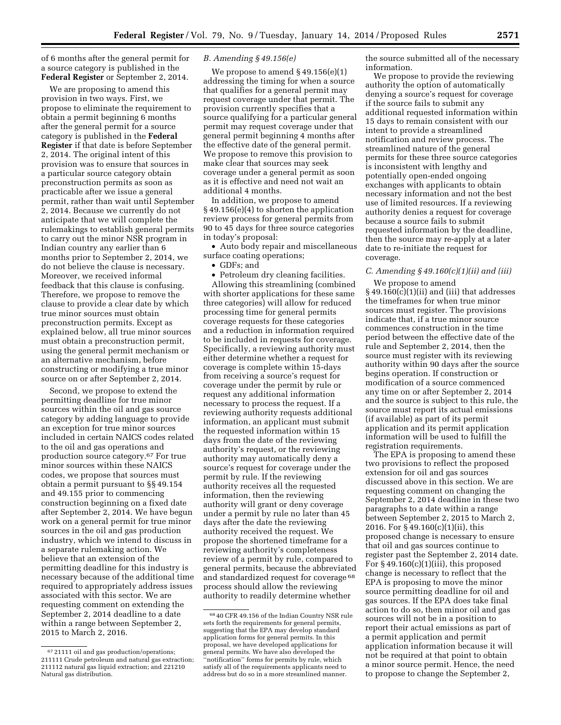of 6 months after the general permit for a source category is published in the **Federal Register** or September 2, 2014.

We are proposing to amend this provision in two ways. First, we propose to eliminate the requirement to obtain a permit beginning 6 months after the general permit for a source category is published in the **Federal Register** if that date is before September 2, 2014. The original intent of this provision was to ensure that sources in a particular source category obtain preconstruction permits as soon as practicable after we issue a general permit, rather than wait until September 2, 2014. Because we currently do not anticipate that we will complete the rulemakings to establish general permits to carry out the minor NSR program in Indian country any earlier than 6 months prior to September 2, 2014, we do not believe the clause is necessary. Moreover, we received informal feedback that this clause is confusing. Therefore, we propose to remove the clause to provide a clear date by which true minor sources must obtain preconstruction permits. Except as explained below, all true minor sources must obtain a preconstruction permit, using the general permit mechanism or an alternative mechanism, before constructing or modifying a true minor source on or after September 2, 2014.

Second, we propose to extend the permitting deadline for true minor sources within the oil and gas source category by adding language to provide an exception for true minor sources included in certain NAICS codes related to the oil and gas operations and production source category.67 For true minor sources within these NAICS codes, we propose that sources must obtain a permit pursuant to §§ 49.154 and 49.155 prior to commencing construction beginning on a fixed date after September 2, 2014. We have begun work on a general permit for true minor sources in the oil and gas production industry, which we intend to discuss in a separate rulemaking action. We believe that an extension of the permitting deadline for this industry is necessary because of the additional time required to appropriately address issues associated with this sector. We are requesting comment on extending the September 2, 2014 deadline to a date within a range between September 2, 2015 to March 2, 2016.

#### *B. Amending § 49.156(e)*

We propose to amend § 49.156(e)(1) addressing the timing for when a source that qualifies for a general permit may request coverage under that permit. The provision currently specifies that a source qualifying for a particular general permit may request coverage under that general permit beginning 4 months after the effective date of the general permit. We propose to remove this provision to make clear that sources may seek coverage under a general permit as soon as it is effective and need not wait an additional 4 months.

In addition, we propose to amend § 49.156(e)(4) to shorten the application review process for general permits from 90 to 45 days for three source categories in today's proposal:

• Auto body repair and miscellaneous surface coating operations;

• GDFs; and

• Petroleum dry cleaning facilities.

Allowing this streamlining (combined with shorter applications for these same three categories) will allow for reduced processing time for general permits coverage requests for these categories and a reduction in information required to be included in requests for coverage. Specifically, a reviewing authority must either determine whether a request for coverage is complete within 15-days from receiving a source's request for coverage under the permit by rule or request any additional information necessary to process the request. If a reviewing authority requests additional information, an applicant must submit the requested information within 15 days from the date of the reviewing authority's request, or the reviewing authority may automatically deny a source's request for coverage under the permit by rule. If the reviewing authority receives all the requested information, then the reviewing authority will grant or deny coverage under a permit by rule no later than 45 days after the date the reviewing authority received the request. We propose the shortened timeframe for a reviewing authority's completeness review of a permit by rule, compared to general permits, because the abbreviated and standardized request for coverage 68 process should allow the reviewing authority to readily determine whether

the source submitted all of the necessary information.

We propose to provide the reviewing authority the option of automatically denying a source's request for coverage if the source fails to submit any additional requested information within 15 days to remain consistent with our intent to provide a streamlined notification and review process. The streamlined nature of the general permits for these three source categories is inconsistent with lengthy and potentially open-ended ongoing exchanges with applicants to obtain necessary information and not the best use of limited resources. If a reviewing authority denies a request for coverage because a source fails to submit requested information by the deadline, then the source may re-apply at a later date to re-initiate the request for coverage.

# *C. Amending § 49.160(c)(1)(ii) and (iii)*

We propose to amend  $§$  49.160(c)(1)(ii) and (iii) that addresses the timeframes for when true minor sources must register. The provisions indicate that, if a true minor source commences construction in the time period between the effective date of the rule and September 2, 2014, then the source must register with its reviewing authority within 90 days after the source begins operation. If construction or modification of a source commenced any time on or after September 2, 2014 and the source is subject to this rule, the source must report its actual emissions (if available) as part of its permit application and its permit application information will be used to fulfill the registration requirements.

The EPA is proposing to amend these two provisions to reflect the proposed extension for oil and gas sources discussed above in this section. We are requesting comment on changing the September 2, 2014 deadline in these two paragraphs to a date within a range between September 2, 2015 to March 2, 2016. For § 49.160(c)(1)(ii), this proposed change is necessary to ensure that oil and gas sources continue to register past the September 2, 2014 date. For  $§$  49.160(c)(1)(iii), this proposed change is necessary to reflect that the EPA is proposing to move the minor source permitting deadline for oil and gas sources. If the EPA does take final action to do so, then minor oil and gas sources will not be in a position to report their actual emissions as part of a permit application and permit application information because it will not be required at that point to obtain a minor source permit. Hence, the need to propose to change the September 2,

<sup>67</sup> 21111 oil and gas production/operations; 211111 Crude petroleum and natural gas extraction; 211112 natural gas liquid extraction; and 221210 Natural gas distribution.

<sup>68</sup> 40 CFR 49.156 of the Indian Country NSR rule sets forth the requirements for general permits, suggesting that the EPA may develop standard application forms for general permits. In this proposal, we have developed applications for general permits. We have also developed the ''notification'' forms for permits by rule, which satisfy all of the requirements applicants need to address but do so in a more streamlined manner.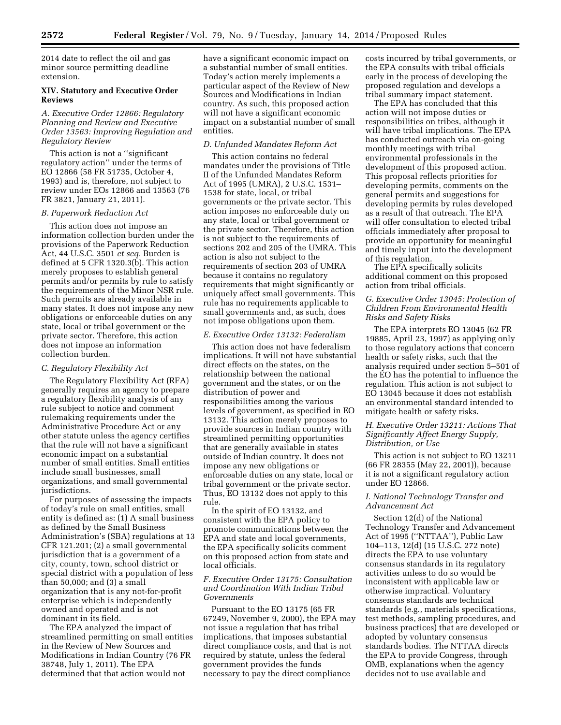2014 date to reflect the oil and gas minor source permitting deadline extension.

# **XIV. Statutory and Executive Order Reviews**

# *A. Executive Order 12866: Regulatory Planning and Review and Executive Order 13563: Improving Regulation and Regulatory Review*

This action is not a ''significant regulatory action'' under the terms of EO 12866 (58 FR 51735, October 4, 1993) and is, therefore, not subject to review under EOs 12866 and 13563 (76 FR 3821, January 21, 2011).

#### *B. Paperwork Reduction Act*

This action does not impose an information collection burden under the provisions of the Paperwork Reduction Act, 44 U.S.C. 3501 *et seq.* Burden is defined at 5 CFR 1320.3(b). This action merely proposes to establish general permits and/or permits by rule to satisfy the requirements of the Minor NSR rule. Such permits are already available in many states. It does not impose any new obligations or enforceable duties on any state, local or tribal government or the private sector. Therefore, this action does not impose an information collection burden.

#### *C. Regulatory Flexibility Act*

The Regulatory Flexibility Act (RFA) generally requires an agency to prepare a regulatory flexibility analysis of any rule subject to notice and comment rulemaking requirements under the Administrative Procedure Act or any other statute unless the agency certifies that the rule will not have a significant economic impact on a substantial number of small entities. Small entities include small businesses, small organizations, and small governmental jurisdictions.

For purposes of assessing the impacts of today's rule on small entities, small entity is defined as: (1) A small business as defined by the Small Business Administration's (SBA) regulations at 13 CFR 121.201; (2) a small governmental jurisdiction that is a government of a city, county, town, school district or special district with a population of less than 50,000; and (3) a small organization that is any not-for-profit enterprise which is independently owned and operated and is not dominant in its field.

The EPA analyzed the impact of streamlined permitting on small entities in the Review of New Sources and Modifications in Indian Country (76 FR 38748, July 1, 2011). The EPA determined that that action would not

have a significant economic impact on a substantial number of small entities. Today's action merely implements a particular aspect of the Review of New Sources and Modifications in Indian country. As such, this proposed action will not have a significant economic impact on a substantial number of small entities.

## *D. Unfunded Mandates Reform Act*

This action contains no federal mandates under the provisions of Title II of the Unfunded Mandates Reform Act of 1995 (UMRA), 2 U.S.C. 1531– 1538 for state, local, or tribal governments or the private sector. This action imposes no enforceable duty on any state, local or tribal government or the private sector. Therefore, this action is not subject to the requirements of sections 202 and 205 of the UMRA. This action is also not subject to the requirements of section 203 of UMRA because it contains no regulatory requirements that might significantly or uniquely affect small governments. This rule has no requirements applicable to small governments and, as such, does not impose obligations upon them.

#### *E. Executive Order 13132: Federalism*

This action does not have federalism implications. It will not have substantial direct effects on the states, on the relationship between the national government and the states, or on the distribution of power and responsibilities among the various levels of government, as specified in EO 13132. This action merely proposes to provide sources in Indian country with streamlined permitting opportunities that are generally available in states outside of Indian country. It does not impose any new obligations or enforceable duties on any state, local or tribal government or the private sector. Thus, EO 13132 does not apply to this rule.

In the spirit of EO 13132, and consistent with the EPA policy to promote communications between the EPA and state and local governments, the EPA specifically solicits comment on this proposed action from state and local officials.

#### *F. Executive Order 13175: Consultation and Coordination With Indian Tribal Governments*

Pursuant to the EO 13175 (65 FR 67249, November 9, 2000), the EPA may not issue a regulation that has tribal implications, that imposes substantial direct compliance costs, and that is not required by statute, unless the federal government provides the funds necessary to pay the direct compliance

costs incurred by tribal governments, or the EPA consults with tribal officials early in the process of developing the proposed regulation and develops a tribal summary impact statement.

The EPA has concluded that this action will not impose duties or responsibilities on tribes, although it will have tribal implications. The EPA has conducted outreach via on-going monthly meetings with tribal environmental professionals in the development of this proposed action. This proposal reflects priorities for developing permits, comments on the general permits and suggestions for developing permits by rules developed as a result of that outreach. The EPA will offer consultation to elected tribal officials immediately after proposal to provide an opportunity for meaningful and timely input into the development of this regulation.

The EPA specifically solicits additional comment on this proposed action from tribal officials.

# *G. Executive Order 13045: Protection of Children From Environmental Health Risks and Safety Risks*

The EPA interprets EO 13045 (62 FR 19885, April 23, 1997) as applying only to those regulatory actions that concern health or safety risks, such that the analysis required under section 5–501 of the EO has the potential to influence the regulation. This action is not subject to EO 13045 because it does not establish an environmental standard intended to mitigate health or safety risks.

# *H. Executive Order 13211: Actions That Significantly Affect Energy Supply, Distribution, or Use*

This action is not subject to EO 13211 (66 FR 28355 (May 22, 2001)), because it is not a significant regulatory action under EO 12866.

# *I. National Technology Transfer and Advancement Act*

Section 12(d) of the National Technology Transfer and Advancement Act of 1995 (''NTTAA''), Public Law 104–113, 12(d) (15 U.S.C. 272 note) directs the EPA to use voluntary consensus standards in its regulatory activities unless to do so would be inconsistent with applicable law or otherwise impractical. Voluntary consensus standards are technical standards (e.g., materials specifications, test methods, sampling procedures, and business practices) that are developed or adopted by voluntary consensus standards bodies. The NTTAA directs the EPA to provide Congress, through OMB, explanations when the agency decides not to use available and